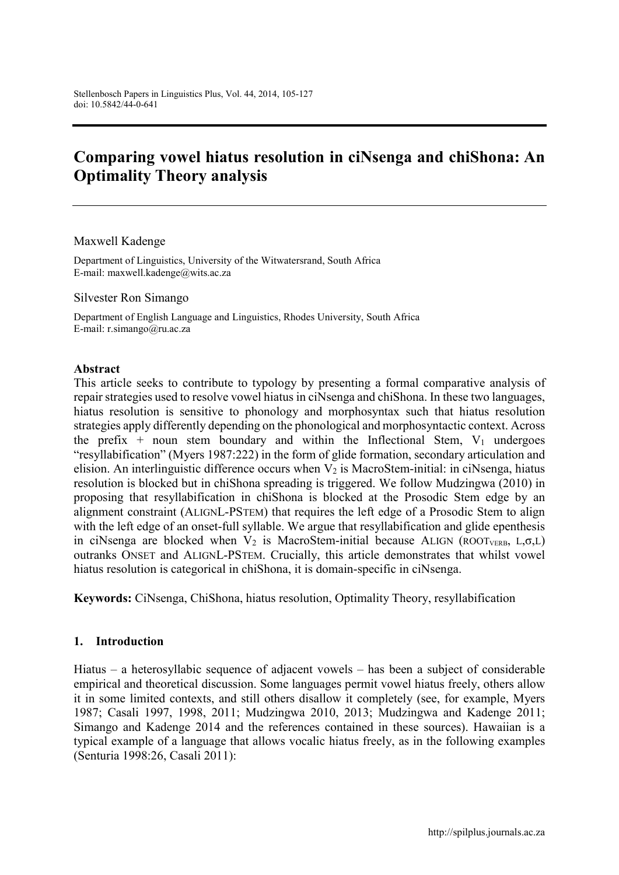# **Comparing vowel hiatus resolution in ciNsenga and chiShona: An Optimality Theory analysis**

Maxwell Kadenge

Department of Linguistics, University of the Witwatersrand, South Africa E-mail: [maxwell.kadenge@wits.ac.za](mailto:maxwell.kadenge@wits.ac.za)

Silvester Ron Simango

Department of English Language and Linguistics, Rhodes University, South Africa E-mail: [r.simango@ru.ac.za](mailto:r.simango@ru.ac.za)

#### **Abstract**

This article seeks to contribute to typology by presenting a formal comparative analysis of repair strategies used to resolve vowel hiatus in ciNsenga and chiShona. In these two languages, hiatus resolution is sensitive to phonology and morphosyntax such that hiatus resolution strategies apply differently depending on the phonological and morphosyntactic context. Across the prefix + noun stem boundary and within the Inflectional Stem,  $V_1$  undergoes "resyllabification" (Myers 1987:222) in the form of glide formation, secondary articulation and elision. An interlinguistic difference occurs when  $V_2$  is MacroStem-initial: in ciNsenga, hiatus resolution is blocked but in chiShona spreading is triggered. We follow Mudzingwa (2010) in proposing that resyllabification in chiShona is blocked at the Prosodic Stem edge by an alignment constraint (ALIGNL-PSTEM) that requires the left edge of a Prosodic Stem to align with the left edge of an onset-full syllable. We argue that resyllabification and glide epenthesis in ciNsenga are blocked when  $V_2$  is MacroStem-initial because ALIGN (ROOT<sub>VERB</sub>, L, $\sigma$ ,L) outranks ONSET and ALIGNL-PSTEM. Crucially, this article demonstrates that whilst vowel hiatus resolution is categorical in chiShona, it is domain-specific in ciNsenga.

**Keywords:** CiNsenga, ChiShona, hiatus resolution, Optimality Theory, resyllabification

#### **1. Introduction**

Hiatus – a heterosyllabic sequence of adjacent vowels – has been a subject of considerable empirical and theoretical discussion. Some languages permit vowel hiatus freely, others allow it in some limited contexts, and still others disallow it completely (see, for example, Myers 1987; Casali 1997, 1998, 2011; Mudzingwa 2010, 2013; Mudzingwa and Kadenge 2011; Simango and Kadenge 2014 and the references contained in these sources). Hawaiian is a typical example of a language that allows vocalic hiatus freely, as in the following examples (Senturia 1998:26, Casali 2011):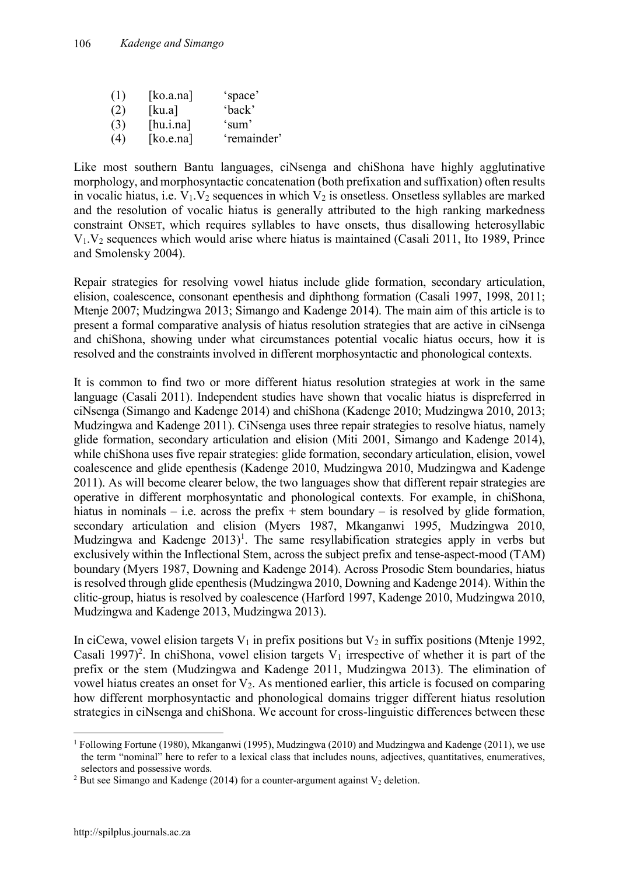| (1) | [ko.a.na] | 'space'     |
|-----|-----------|-------------|
| (2) | [ku.a]    | 'back'      |
| (3) | [hu.ina]  | 'sum'       |
| (4) | [ko.e.na] | 'remainder' |

Like most southern Bantu languages, ciNsenga and chiShona have highly agglutinative morphology, and morphosyntactic concatenation (both prefixation and suffixation) often results in vocalic hiatus, i.e.  $V_1$ ,  $V_2$  sequences in which  $V_2$  is onsetless. Onsetless syllables are marked and the resolution of vocalic hiatus is generally attributed to the high ranking markedness constraint ONSET, which requires syllables to have onsets, thus disallowing heterosyllabic  $V_1$ ,  $V_2$  sequences which would arise where hiatus is maintained (Casali 2011, Ito 1989, Prince and Smolensky 2004).

Repair strategies for resolving vowel hiatus include glide formation, secondary articulation, elision, coalescence, consonant epenthesis and diphthong formation (Casali 1997, 1998, 2011; Mtenje 2007; Mudzingwa 2013; Simango and Kadenge 2014). The main aim of this article is to present a formal comparative analysis of hiatus resolution strategies that are active in ciNsenga and chiShona, showing under what circumstances potential vocalic hiatus occurs, how it is resolved and the constraints involved in different morphosyntactic and phonological contexts.

It is common to find two or more different hiatus resolution strategies at work in the same language (Casali 2011). Independent studies have shown that vocalic hiatus is dispreferred in ciNsenga (Simango and Kadenge 2014) and chiShona (Kadenge 2010; Mudzingwa 2010, 2013; Mudzingwa and Kadenge 2011). CiNsenga uses three repair strategies to resolve hiatus, namely glide formation, secondary articulation and elision (Miti 2001, Simango and Kadenge 2014), while chiShona uses five repair strategies: glide formation, secondary articulation, elision, vowel coalescence and glide epenthesis (Kadenge 2010, Mudzingwa 2010, Mudzingwa and Kadenge 2011). As will become clearer below, the two languages show that different repair strategies are operative in different morphosyntatic and phonological contexts. For example, in chiShona, hiatus in nominals – i.e. across the prefix + stem boundary – is resolved by glide formation, secondary articulation and elision (Myers 1987, Mkanganwi 1995, Mudzingwa 2010, Mudzingwa and Kadenge  $2013$ <sup>1</sup>. The same resyllabification strategies apply in verbs but exclusively within the Inflectional Stem, across the subject prefix and tense-aspect-mood (TAM) boundary (Myers 1987, Downing and Kadenge 2014). Across Prosodic Stem boundaries, hiatus is resolved through glide epenthesis (Mudzingwa 2010, Downing and Kadenge 2014). Within the clitic-group, hiatus is resolved by coalescence (Harford 1997, Kadenge 2010, Mudzingwa 2010, Mudzingwa and Kadenge 2013, Mudzingwa 2013).

In ciCewa, vowel elision targets  $V_1$  in prefix positions but  $V_2$  in suffix positions (Mtenje 1992, Casali 1997)<sup>2</sup>. In chiShona, vowel elision targets  $V_1$  irrespective of whether it is part of the prefix or the stem (Mudzingwa and Kadenge 2011, Mudzingwa 2013). The elimination of vowel hiatus creates an onset for V2. As mentioned earlier, this article is focused on comparing how different morphosyntactic and phonological domains trigger different hiatus resolution strategies in ciNsenga and chiShona. We account for cross-linguistic differences between these

 <sup>1</sup> Following Fortune (1980), Mkanganwi (1995), Mudzingwa (2010) and Mudzingwa and Kadenge (2011), we use the term "nominal" here to refer to a lexical class that includes nouns, adjectives, quantitatives, enumeratives, selectors and possessive words.

<sup>&</sup>lt;sup>2</sup> But see Simango and Kadenge (2014) for a counter-argument against  $V_2$  deletion.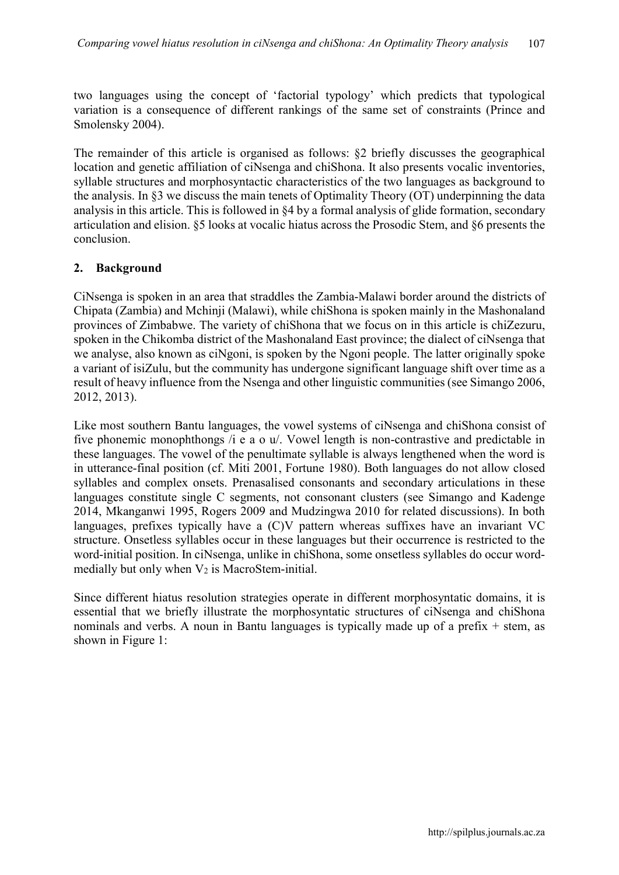two languages using the concept of 'factorial typology' which predicts that typological variation is a consequence of different rankings of the same set of constraints (Prince and Smolensky 2004).

The remainder of this article is organised as follows: §2 briefly discusses the geographical location and genetic affiliation of ciNsenga and chiShona. It also presents vocalic inventories, syllable structures and morphosyntactic characteristics of the two languages as background to the analysis. In §3 we discuss the main tenets of Optimality Theory (OT) underpinning the data analysis in this article. This is followed in §4 by a formal analysis of glide formation, secondary articulation and elision. §5 looks at vocalic hiatus across the Prosodic Stem, and §6 presents the conclusion.

### **2. Background**

CiNsenga is spoken in an area that straddles the Zambia-Malawi border around the districts of Chipata (Zambia) and Mchinji (Malawi), while chiShona is spoken mainly in the Mashonaland provinces of Zimbabwe. The variety of chiShona that we focus on in this article is chiZezuru, spoken in the Chikomba district of the Mashonaland East province; the dialect of ciNsenga that we analyse, also known as ciNgoni, is spoken by the Ngoni people. The latter originally spoke a variant of isiZulu, but the community has undergone significant language shift over time as a result of heavy influence from the Nsenga and other linguistic communities (see Simango 2006, 2012, 2013).

Like most southern Bantu languages, the vowel systems of ciNsenga and chiShona consist of five phonemic monophthongs /i e a o u/. Vowel length is non-contrastive and predictable in these languages. The vowel of the penultimate syllable is always lengthened when the word is in utterance-final position (cf. Miti 2001, Fortune 1980). Both languages do not allow closed syllables and complex onsets. Prenasalised consonants and secondary articulations in these languages constitute single C segments, not consonant clusters (see Simango and Kadenge 2014, Mkanganwi 1995, Rogers 2009 and Mudzingwa 2010 for related discussions). In both languages, prefixes typically have a (C)V pattern whereas suffixes have an invariant VC structure. Onsetless syllables occur in these languages but their occurrence is restricted to the word-initial position. In ciNsenga, unlike in chiShona, some onsetless syllables do occur wordmedially but only when  $V_2$  is MacroStem-initial.

Since different hiatus resolution strategies operate in different morphosyntatic domains, it is essential that we briefly illustrate the morphosyntatic structures of ciNsenga and chiShona nominals and verbs. A noun in Bantu languages is typically made up of a prefix  $+$  stem, as shown in Figure 1: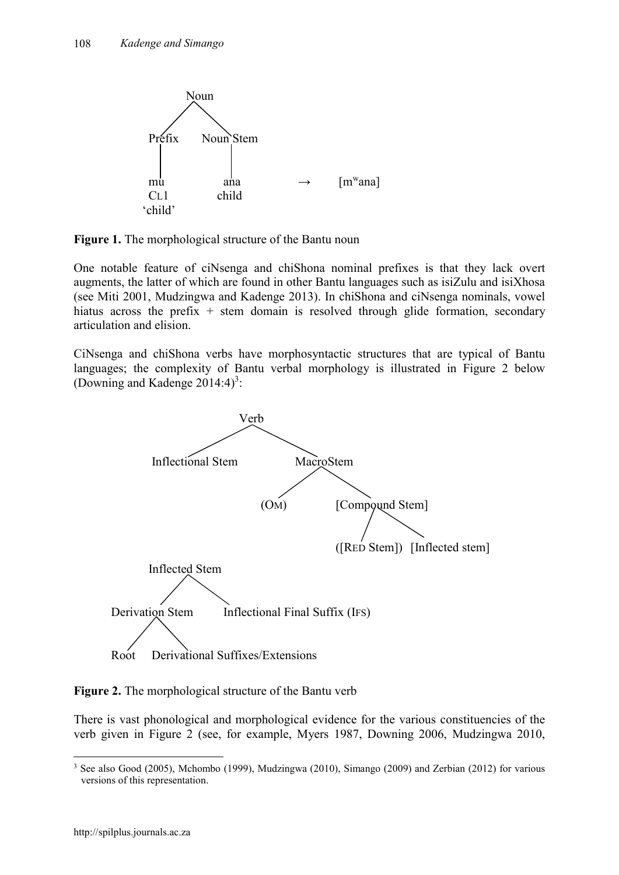

**Figure 1.** The morphological structure of the Bantu noun

One notable feature of ciNsenga and chiShona nominal prefixes is that they lack overt augments, the latter of which are found in other Bantu languages such as isiZulu and isiXhosa (see Miti 2001, Mudzingwa and Kadenge 2013). In chiShona and ciNsenga nominals, vowel hiatus across the prefix  $+$  stem domain is resolved through glide formation, secondary articulation and elision.

CiNsenga and chiShona verbs have morphosyntactic structures that are typical of Bantu languages; the complexity of Bantu verbal morphology is illustrated in Figure 2 below (Downing and Kadenge  $2014:4$ )<sup>3</sup>:



**Figure 2.** The morphological structure of the Bantu verb

There is vast phonological and morphological evidence for the various constituencies of the verb given in Figure 2 (see, for example, Myers 1987, Downing 2006, Mudzingwa 2010,

<sup>&</sup>lt;sup>3</sup> See also Good (2005), Mchombo (1999), Mudzingwa (2010), Simango (2009) and Zerbian (2012) for various versions of this representation.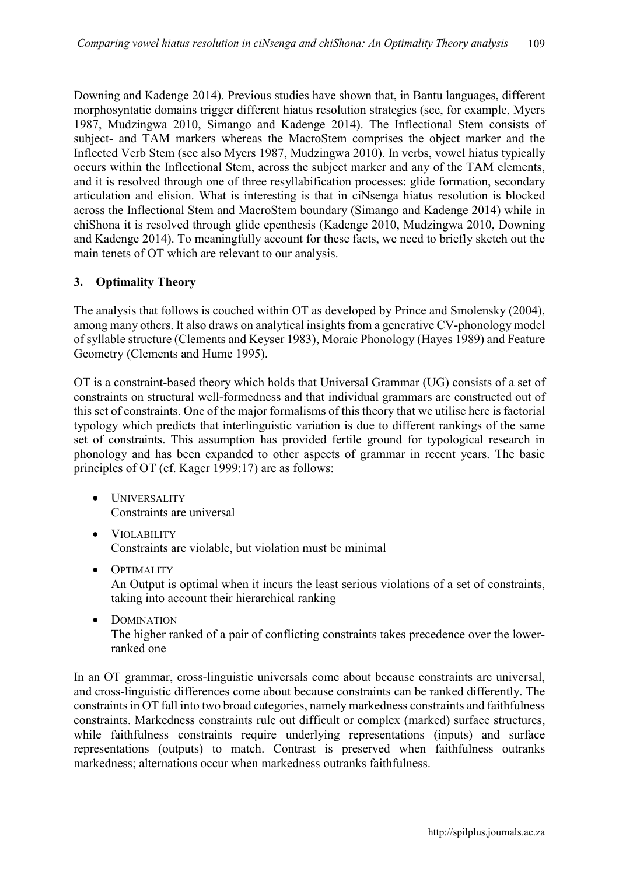Downing and Kadenge 2014). Previous studies have shown that, in Bantu languages, different morphosyntatic domains trigger different hiatus resolution strategies (see, for example, Myers 1987, Mudzingwa 2010, Simango and Kadenge 2014). The Inflectional Stem consists of subject- and TAM markers whereas the MacroStem comprises the object marker and the Inflected Verb Stem (see also Myers 1987, Mudzingwa 2010). In verbs, vowel hiatus typically occurs within the Inflectional Stem, across the subject marker and any of the TAM elements, and it is resolved through one of three resyllabification processes: glide formation, secondary articulation and elision. What is interesting is that in ciNsenga hiatus resolution is blocked across the Inflectional Stem and MacroStem boundary (Simango and Kadenge 2014) while in chiShona it is resolved through glide epenthesis (Kadenge 2010, Mudzingwa 2010, Downing and Kadenge 2014). To meaningfully account for these facts, we need to briefly sketch out the main tenets of OT which are relevant to our analysis.

### **3. Optimality Theory**

The analysis that follows is couched within OT as developed by Prince and Smolensky (2004), among many others. It also draws on analytical insights from a generative CV-phonology model of syllable structure (Clements and Keyser 1983), Moraic Phonology (Hayes 1989) and Feature Geometry (Clements and Hume 1995).

OT is a constraint-based theory which holds that Universal Grammar (UG) consists of a set of constraints on structural well-formedness and that individual grammars are constructed out of this set of constraints. One of the major formalisms of this theory that we utilise here is factorial typology which predicts that interlinguistic variation is due to different rankings of the same set of constraints. This assumption has provided fertile ground for typological research in phonology and has been expanded to other aspects of grammar in recent years. The basic principles of OT (cf. Kager 1999:17) are as follows:

- **•** UNIVERSALITY Constraints are universal
- VIOLABILITY Constraints are violable, but violation must be minimal
- **•** OPTIMALITY An Output is optimal when it incurs the least serious violations of a set of constraints, taking into account their hierarchical ranking
- DOMINATION The higher ranked of a pair of conflicting constraints takes precedence over the lowerranked one

In an OT grammar, cross-linguistic universals come about because constraints are universal, and cross-linguistic differences come about because constraints can be ranked differently. The constraints in OT fall into two broad categories, namely markedness constraints and faithfulness constraints. Markedness constraints rule out difficult or complex (marked) surface structures, while faithfulness constraints require underlying representations (inputs) and surface representations (outputs) to match. Contrast is preserved when faithfulness outranks markedness; alternations occur when markedness outranks faithfulness.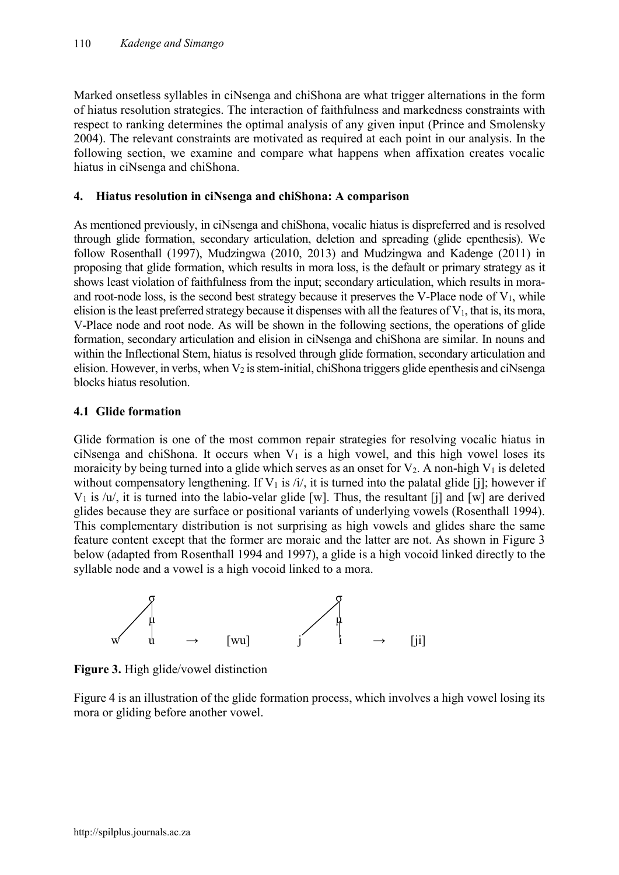Marked onsetless syllables in ciNsenga and chiShona are what trigger alternations in the form of hiatus resolution strategies. The interaction of faithfulness and markedness constraints with respect to ranking determines the optimal analysis of any given input (Prince and Smolensky 2004). The relevant constraints are motivated as required at each point in our analysis. In the following section, we examine and compare what happens when affixation creates vocalic hiatus in ciNsenga and chiShona.

### **4. Hiatus resolution in ciNsenga and chiShona: A comparison**

As mentioned previously, in ciNsenga and chiShona, vocalic hiatus is dispreferred and is resolved through glide formation, secondary articulation, deletion and spreading (glide epenthesis). We follow Rosenthall (1997), Mudzingwa (2010, 2013) and Mudzingwa and Kadenge (2011) in proposing that glide formation, which results in mora loss, is the default or primary strategy as it shows least violation of faithfulness from the input; secondary articulation, which results in moraand root-node loss, is the second best strategy because it preserves the V-Place node of  $V_1$ , while elision is the least preferred strategy because it dispenses with all the features of  $V_1$ , that is, its mora, V-Place node and root node. As will be shown in the following sections, the operations of glide formation, secondary articulation and elision in ciNsenga and chiShona are similar. In nouns and within the Inflectional Stem, hiatus is resolved through glide formation, secondary articulation and elision. However, in verbs, when  $V_2$  is stem-initial, chiShona triggers glide epenthesis and ciNsenga blocks hiatus resolution.

### **4.1 Glide formation**

Glide formation is one of the most common repair strategies for resolving vocalic hiatus in ciNsenga and chiShona. It occurs when  $V_1$  is a high vowel, and this high vowel loses its moraicity by being turned into a glide which serves as an onset for  $V_2$ . A non-high  $V_1$  is deleted without compensatory lengthening. If  $V_1$  is /i/, it is turned into the palatal glide [j]; however if  $V_1$  is /u/, it is turned into the labio-velar glide [w]. Thus, the resultant [j] and [w] are derived glides because they are surface or positional variants of underlying vowels (Rosenthall 1994). This complementary distribution is not surprising as high vowels and glides share the same feature content except that the former are moraic and the latter are not. As shown in Figure 3 below (adapted from Rosenthall 1994 and 1997), a glide is a high vocoid linked directly to the syllable node and a vowel is a high vocoid linked to a mora.



**Figure 3.** High glide/vowel distinction

Figure 4 is an illustration of the glide formation process, which involves a high vowel losing its mora or gliding before another vowel.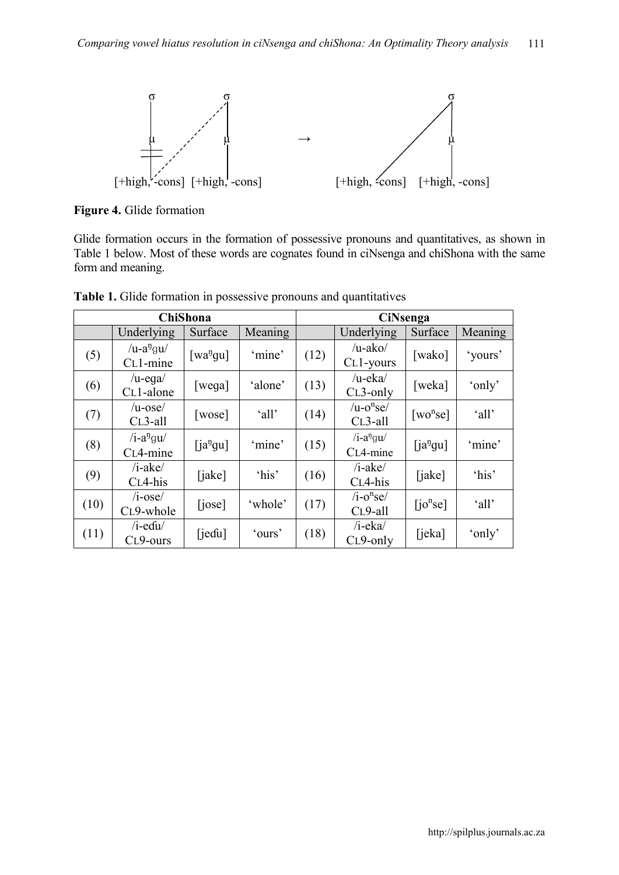

**Figure 4.** Glide formation

Glide formation occurs in the formation of possessive pronouns and quantitatives, as shown in Table 1 below. Most of these words are cognates found in ciNsenga and chiShona with the same form and meaning.

|      |                                         | <b>ChiShona</b>          |         | <b>CiNsenga</b> |                                           |                      |         |
|------|-----------------------------------------|--------------------------|---------|-----------------|-------------------------------------------|----------------------|---------|
|      | Underlying                              | Surface                  | Meaning |                 | Underlying                                | Surface              | Meaning |
| (5)  | $/u-a^{n}gu/$<br>C <sub>L</sub> 1-mine  | [ $\text{wa}^{\eta}$ gu] | 'mine'  | (12)            | $/$ u-ako $/$<br>CL1-yours                | [wako]               | 'yours' |
| (6)  | $/u$ -ega $/$<br>C <sub>L</sub> 1-alone | [wega]                   | 'alone' | (13)            | $/u$ -eka $/$<br>$CL3-only$               | [weka]               | 'only'  |
| (7)  | $/u$ -ose $/$<br>$CL3-all$              | [wose]                   | 'all'   | (14)            | $/u$ - $o$ <sup>n</sup> se $/$<br>CL3-all | [wo <sup>n</sup> se] | 'all'   |
| (8)  | $/i-a^n gu'$<br>C <sub>L</sub> 4-mine   | $[ia^{ij}gu]$            | 'mine'  | (15)            | $/i$ -a <sup>n</sup> gu/<br>CL4-mine      | $[ia^{ij}gu]$        | 'mine'  |
| (9)  | $/i - ake/$<br>CL4-his                  | [iake]                   | 'his'   | (16)            | $/i - ake/$<br>CL4-his                    | [jake]               | 'his'   |
| (10) | $/i$ -ose $/$<br>CL9-whole              | [jose]                   | 'whole' | (17)            | $/i$ -o <sup>n</sup> se/<br>CL9-all       | [io <sup>n</sup> se] | 'all'   |
| (11) | $/i$ -edu $/$<br>CL9-ours               | [iedu]                   | 'ours'  | (18)            | $/i$ -eka $/$<br>CL9-only                 | [ieka]               | 'only'  |

**Table 1.** Glide formation in possessive pronouns and quantitatives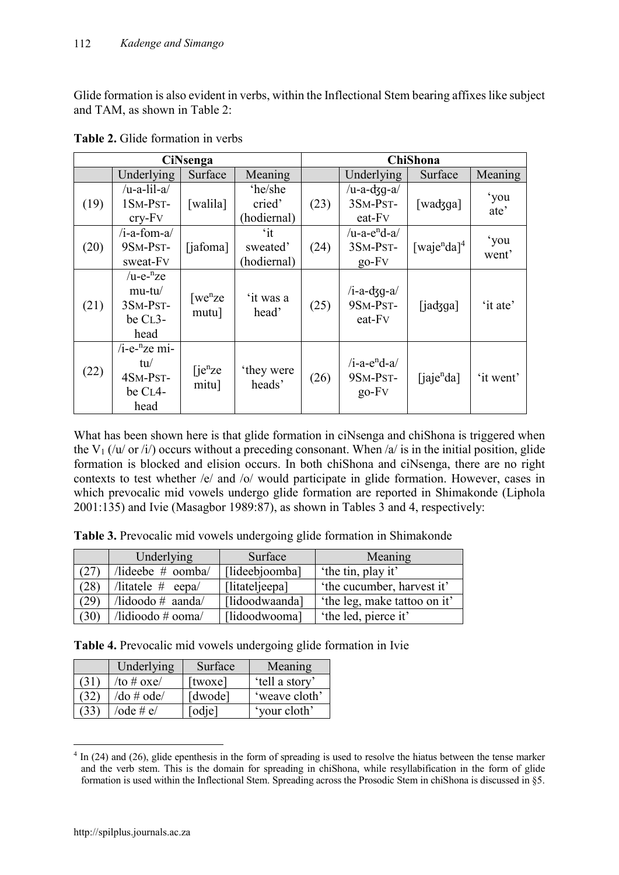Glide formation is also evident in verbs, within the Inflectional Stem bearing affixes like subject and TAM, as shown in Table 2:

|      | <b>CiNsenga</b>                                           |                               |                                         |      |                                                   | <b>ChiShona</b>                     |               |
|------|-----------------------------------------------------------|-------------------------------|-----------------------------------------|------|---------------------------------------------------|-------------------------------------|---------------|
|      | Underlying                                                | Surface                       | Meaning                                 |      | Underlying                                        | Surface                             | Meaning       |
| (19) | $/u-a-lil-a/$<br>1SM-PST-<br>$cry-Fv$                     | [walila]                      | 'he/she<br>cried'<br>(hodiernal)        | (23) | $/u-a-dq-a/$<br>3SM-PST-<br>eat-Fv                | [wadzga]                            | 'you<br>ate'  |
| (20) | $/i$ -a-fom-a $\ell$<br>9SM-PST-<br>sweat-Fv              | [jafoma]                      | $\mathbf{a}$<br>sweated'<br>(hodiernal) | (24) | $/u$ -a-e <sup>n</sup> d-a<br>3SM-PST-<br>$go-FV$ | [waje <sup>n</sup> da] <sup>4</sup> | 'you<br>went' |
| (21) | $/u-e^{-n}ze$<br>$mu-tu/$<br>3SM-PST-<br>be CL3-<br>head  | [we <sup>n</sup> ze]<br>mutu] | 'it was a<br>head'                      | (25) | $/i-a-dgq-a/$<br>9SM-PST-<br>eat-Fv               | [iad3ga]                            | 'it ate'      |
| (22) | /i-e- ${}^n$ ze mi-<br>tu/<br>4SM-PST-<br>be CL4-<br>head | [je <sup>n</sup> ze]<br>mitu] | they were<br>heads'                     | (26) | $/i$ -a-e <sup>n</sup> d-a<br>9SM-PST-<br>$go-FV$ | [ia]e <sup>n</sup> da]              | 'it went'     |

What has been shown here is that glide formation in ciNsenga and chiShona is triggered when the V<sub>1</sub> (/u/ or /i/) occurs without a preceding consonant. When /a/ is in the initial position, glide formation is blocked and elision occurs. In both chiShona and ciNsenga, there are no right contexts to test whether /e/ and /o/ would participate in glide formation. However, cases in which prevocalic mid vowels undergo glide formation are reported in Shimakonde (Liphola 2001:135) and Ivie (Masagbor 1989:87), as shown in Tables 3 and 4, respectively:

**Table 3.** Prevocalic mid vowels undergoing glide formation in Shimakonde

|      | Underlying                       | Surface        | Meaning                      |
|------|----------------------------------|----------------|------------------------------|
| (27) | /lideebe $#$ oomba/              | [lideebjoomba] | 'the tin, play it'           |
| (28) | /litatele $#$ eepa/              | [litateljeepa] | 'the cucumber, harvest it'   |
| (29) | $\Delta$ idoodo # aanda/         | [lidoodwaanda] | 'the leg, make tattoo on it' |
| (30) | $\Delta$ idioodo # ooma $\Delta$ | [lidoodwooma]  | 'the led, pierce it'         |

**Table 4.** Prevocalic mid vowels undergoing glide formation in Ivie

| Underlying       | Surface | Meaning        |
|------------------|---------|----------------|
| /to # $oxe/$     | [twoxe] | 'tell a story' |
| $/$ do # ode $/$ | [dwode] | 'weave cloth'  |
| /ode # e/        | odiel   | 'your cloth'   |

<sup>&</sup>lt;sup>4</sup> In (24) and (26), glide epenthesis in the form of spreading is used to resolve the hiatus between the tense marker and the verb stem. This is the domain for spreading in chiShona, while resyllabification in the form of glide formation is used within the Inflectional Stem. Spreading across the Prosodic Stem in chiShona is discussed in §5.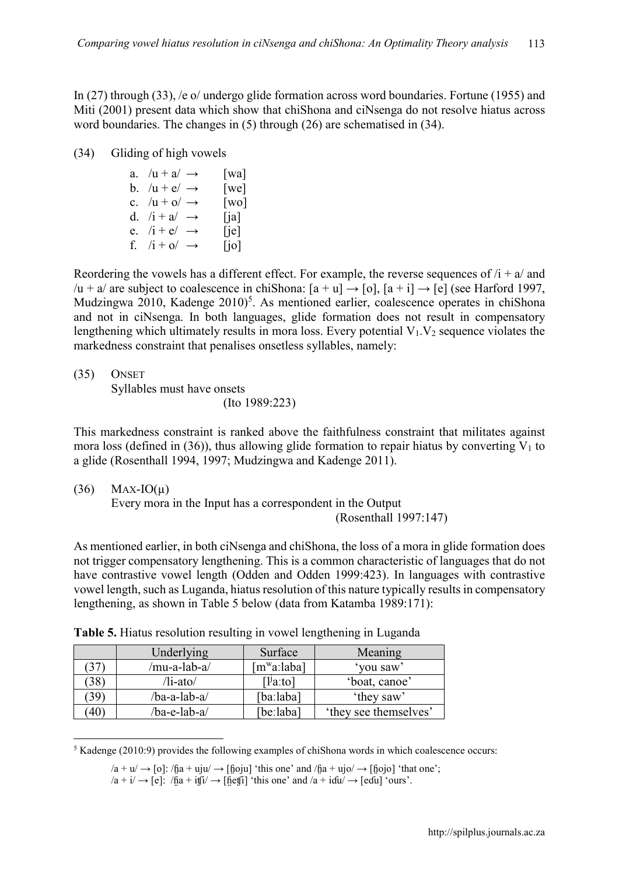In (27) through (33), /e o/ undergo glide formation across word boundaries. Fortune (1955) and Miti (2001) present data which show that chiShona and ciNsenga do not resolve hiatus across word boundaries. The changes in (5) through (26) are schematised in (34).

(34) Gliding of high vowels

| a. $/u + a' \rightarrow$ | [wa]                 |
|--------------------------|----------------------|
| b. $/u + e' \rightarrow$ | $\lceil$ we $\rceil$ |
| c. $/u + o' \rightarrow$ | $\lceil$ WO $\rceil$ |
| d. $/i + a \rightarrow$  | $\lceil$ ia]         |
| e. $/i + e' \rightarrow$ | [ie]                 |
| f. $/i + o \rightarrow$  | [io]                 |

Reordering the vowels has a different effect. For example, the reverse sequences of  $/i + a/$  and /u + a/ are subject to coalescence in chiShona:  $[a + u] \rightarrow [o]$ ,  $[a + i] \rightarrow [e]$  (see Harford 1997, Mudzingwa 2010, Kadenge 2010)<sup>5</sup>. As mentioned earlier, coalescence operates in chiShona and not in ciNsenga. In both languages, glide formation does not result in compensatory lengthening which ultimately results in mora loss. Every potential  $V_1$ ,  $V_2$  sequence violates the markedness constraint that penalises onsetless syllables, namely:

(35) ONSET Syllables must have onsets (Ito 1989:223)

This markedness constraint is ranked above the faithfulness constraint that militates against mora loss (defined in (36)), thus allowing glide formation to repair hiatus by converting  $V_1$  to a glide (Rosenthall 1994, 1997; Mudzingwa and Kadenge 2011).

 $(36)$  Max-IO( $\mu$ )

Every mora in the Input has a correspondent in the Output

(Rosenthall 1997:147)

As mentioned earlier, in both ciNsenga and chiShona, the loss of a mora in glide formation does not trigger compensatory lengthening. This is a common characteristic of languages that do not have contrastive vowel length (Odden and Odden 1999:423). In languages with contrastive vowel length, such as Luganda, hiatus resolution of this nature typically results in compensatory lengthening, as shown in Table 5 below (data from Katamba 1989:171):

|            | Underlying   | Surface                 | Meaning               |
|------------|--------------|-------------------------|-----------------------|
|            | /mu-a-lab-a/ | [m <sup>w</sup> aːlaba] | 'you saw'             |
| 38         | /li-ato/     | $[1]a$ :to]             | 'boat, canoe'         |
| 39         | /ba-a-lab-a/ | [baːlaba]               | 'they saw'            |
| $40^\circ$ | /ba-e-lab-a/ | [beːlaba]               | 'they see themselves' |

**Table 5.** Hiatus resolution resulting in vowel lengthening in Luganda

<sup>&</sup>lt;sup>5</sup> Kadenge (2010:9) provides the following examples of chiShona words in which coalescence occurs:

 $/a + u/ \rightarrow$  [o]:  $/ha + u\dot{u}/ \rightarrow$  [hoju] 'this one' and  $/ha + u\dot{v}/ \rightarrow$  [hojo] 'that one';

 $/a + i/ \rightarrow [e]$ :  $/ĥa + i f̃i/ \rightarrow [ĥef̃ī]$  'this one' and  $/a + i d̃u/ \rightarrow [ed̃īū]$  'ours'.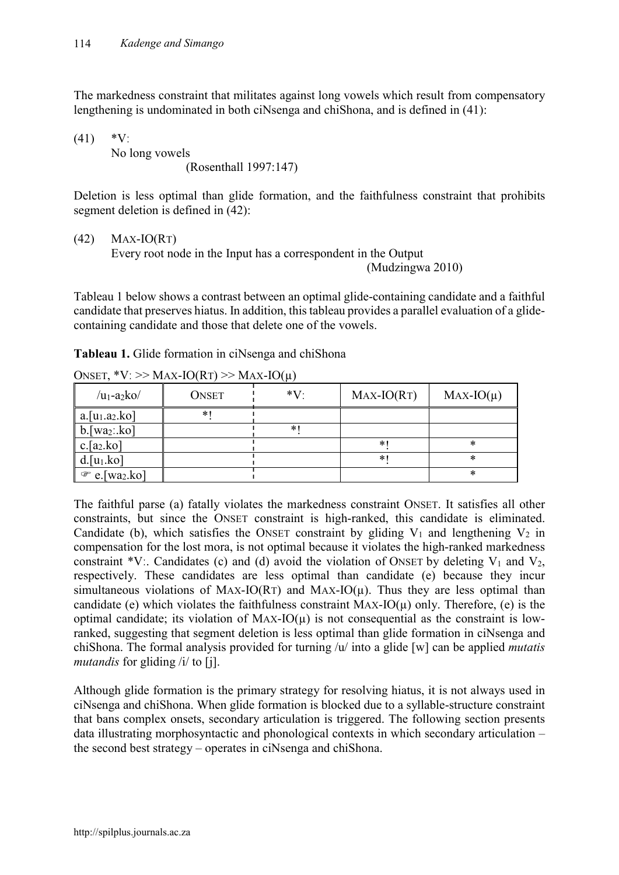The markedness constraint that militates against long vowels which result from compensatory lengthening is undominated in both ciNsenga and chiShona, and is defined in (41):

 $(41)$  \*V:

No long vowels (Rosenthall 1997:147)

Deletion is less optimal than glide formation, and the faithfulness constraint that prohibits segment deletion is defined in (42):

 $(42)$  Max-IO(RT)

Every root node in the Input has a correspondent in the Output

(Mudzingwa 2010)

Tableau 1 below shows a contrast between an optimal glide-containing candidate and a faithful candidate that preserves hiatus. In addition, this tableau provides a parallel evaluation of a glidecontaining candidate and those that delete one of the vowels.

| ONSET, *V: >> MAX-IO(RT) >> MAX-IO( $\mu$ ) |              |        |              |               |  |  |  |
|---------------------------------------------|--------------|--------|--------------|---------------|--|--|--|
| $/u_1$ -a <sub>2</sub> ko/                  | <b>ONSET</b> | $*V$   | $MAX-IO(RT)$ | $MAX-IO(\mu)$ |  |  |  |
| $a.[u_1.a_2.ko]$                            | $*1$         |        |              |               |  |  |  |
| $b.$ [wa $_2:ko$ ]                          |              | $\ast$ |              |               |  |  |  |
| $c.[a_2.ko]$                                |              |        | *            | *             |  |  |  |
| $d.[u_1.ko]$                                |              |        | *1           | *             |  |  |  |
| $\mathcal{F}$ e. [wa <sub>2</sub> .ko]      |              |        |              | $\ast$        |  |  |  |

**Tableau 1.** Glide formation in ciNsenga and chiShona

The faithful parse (a) fatally violates the markedness constraint ONSET. It satisfies all other constraints, but since the ONSET constraint is high-ranked, this candidate is eliminated. Candidate (b), which satisfies the ONSET constraint by gliding  $V_1$  and lengthening  $V_2$  in compensation for the lost mora, is not optimal because it violates the high-ranked markedness constraint \*V:. Candidates (c) and (d) avoid the violation of ONSET by deleting  $V_1$  and  $V_2$ , respectively. These candidates are less optimal than candidate (e) because they incur simultaneous violations of MAX-IO(RT) and MAX-IO( $\mu$ ). Thus they are less optimal than candidate (e) which violates the faithfulness constraint MAX-IO( $\mu$ ) only. Therefore, (e) is the optimal candidate; its violation of  $MAX-IO(\mu)$  is not consequential as the constraint is lowranked, suggesting that segment deletion is less optimal than glide formation in ciNsenga and chiShona. The formal analysis provided for turning /u/ into a glide [w] can be applied *mutatis mutandis* for gliding /i/ to [j].

Although glide formation is the primary strategy for resolving hiatus, it is not always used in ciNsenga and chiShona. When glide formation is blocked due to a syllable-structure constraint that bans complex onsets, secondary articulation is triggered. The following section presents data illustrating morphosyntactic and phonological contexts in which secondary articulation – the second best strategy – operates in ciNsenga and chiShona.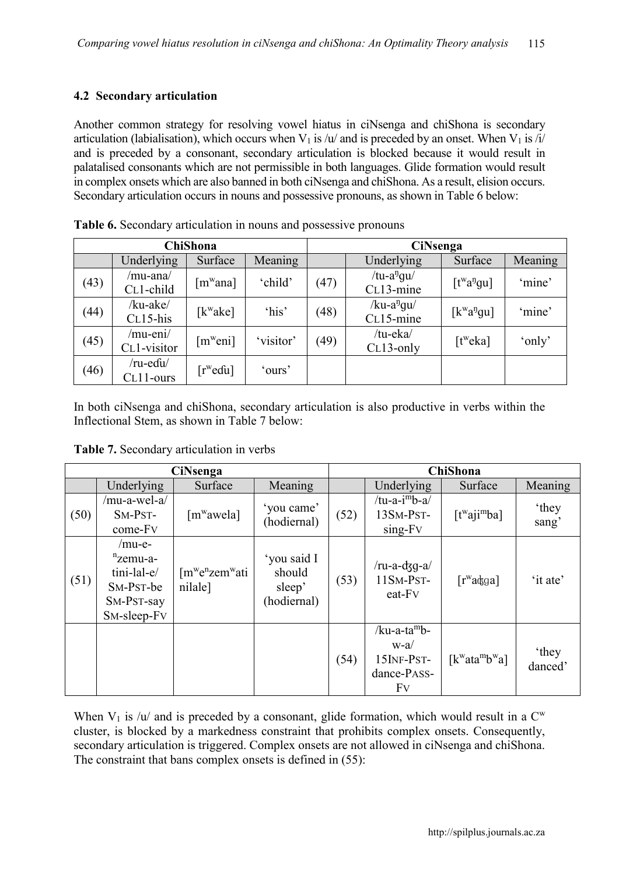### **4.2 Secondary articulation**

Another common strategy for resolving vowel hiatus in ciNsenga and chiShona is secondary articulation (labialisation), which occurs when  $V_1$  is /u/ and is preceded by an onset. When  $V_1$  is /i/ and is preceded by a consonant, secondary articulation is blocked because it would result in palatalised consonants which are not permissible in both languages. Glide formation would result in complex onsets which are also banned in both ciNsenga and chiShona. As a result, elision occurs. Secondary articulation occurs in nouns and possessive pronouns, as shown in Table 6 below:

|      | <b>ChiShona</b>          |                              |           |      | <b>CiNsenga</b>                     |                                     |         |  |
|------|--------------------------|------------------------------|-----------|------|-------------------------------------|-------------------------------------|---------|--|
|      | Underlying               | Surface                      | Meaning   |      | Underlying                          | Surface                             | Meaning |  |
| (43) | /mu-ana/<br>CL1-child    | $\lceil m^{\mathrm{w}}$ ana] | 'child'   | (47) | /tu-a <sup>n</sup> gu/<br>CL13-mine | $[t^{\text{w}}a^{\text{p}}qu]$      | 'mine'  |  |
| (44) | /ku-ake/<br>$CL15-his$   | $[k^{\mathrm{w}}$ ake]       | 'his'     | (48) | /ku-a <sup>n</sup> gu/<br>CL15-mine | $[k^{\mathrm{w}}a^{\mathrm{p}}$ gu] | 'mine'  |  |
| (45) | /mu-eni/<br>CL1-visitor  | [m <sup>w</sup> eni]         | 'visitor' | (49) | /tu-eka/<br>$CL13-only$             | [t <sup>w</sup> eka]                | 'only'  |  |
| (46) | /ru-eɗu/<br>$CL11$ -ours | $[rw$ edu]                   | 'ours'    |      |                                     |                                     |         |  |

**Table 6.** Secondary articulation in nouns and possessive pronouns

In both ciNsenga and chiShona, secondary articulation is also productive in verbs within the Inflectional Stem, as shown in Table 7 below:

**Table 7.** Secondary articulation in verbs

| <b>CiNsenga</b> |                                                                                   |                                                                |                                                | <b>ChiShona</b> |                                                            |                                                      |                          |
|-----------------|-----------------------------------------------------------------------------------|----------------------------------------------------------------|------------------------------------------------|-----------------|------------------------------------------------------------|------------------------------------------------------|--------------------------|
|                 | Underlying                                                                        | Surface                                                        | Meaning                                        |                 | Underlying                                                 | Surface                                              | Meaning                  |
| (50)            | /mu-a-wel-a/<br>SM-PST-<br>come-Fv                                                | $[m^{\rm w}$ awela]                                            | 'you came'<br>(hodiernal)                      | (52)            | /tu-a- $i^m b - a$ /<br>13SM-PST-<br>sing-Fv               | [t <sup>w</sup> aji <sup>m</sup> ba]                 | <i>'</i> they<br>sang'   |
| (51)            | $/mu$ -e-<br>$n$ zemu-a-<br>tini-lal-e/<br>SM-PST-be<br>SM-PST-say<br>SM-sleep-FV | [m <sup>w</sup> e <sup>n</sup> zem <sup>w</sup> ati<br>nilale] | 'you said I<br>should<br>sleep'<br>(hodiernal) | (53)            | $/ru-a-dgq-a/$<br>11SM-PST-<br>eat-Fv                      | $\lceil r^{\rm w}$ adga]                             | 'it ate'                 |
|                 |                                                                                   |                                                                |                                                | (54)            | $/ku-a-tamb-$<br>$w-a/$<br>15INF-PST-<br>dance-PASS-<br>Fv | $[k^{\mathrm{w}}$ ata <sup>m</sup> b <sup>w</sup> a] | <i>'</i> they<br>danced' |

When  $V_1$  is /u/ and is preceded by a consonant, glide formation, which would result in a  $C^w$ cluster, is blocked by a markedness constraint that prohibits complex onsets. Consequently, secondary articulation is triggered. Complex onsets are not allowed in ciNsenga and chiShona. The constraint that bans complex onsets is defined in (55):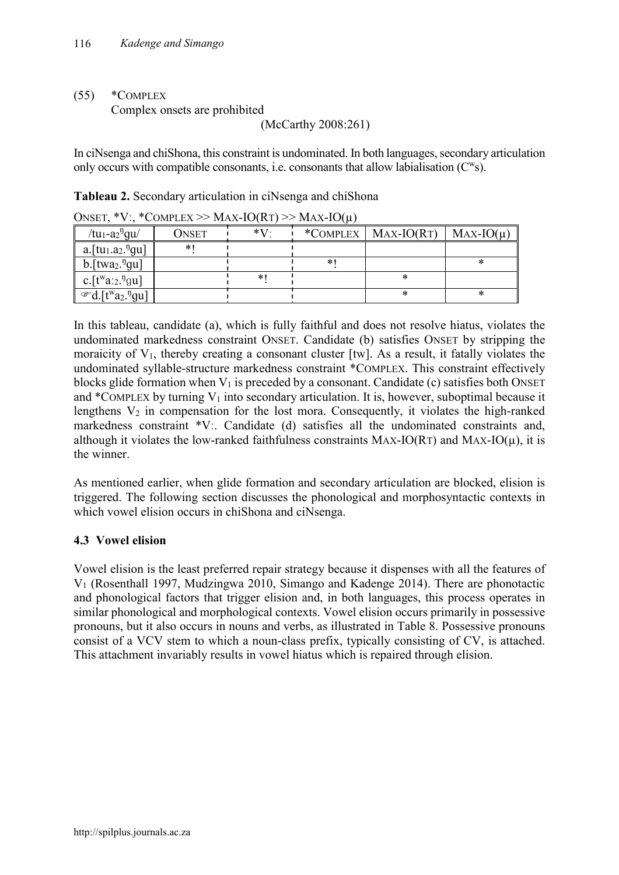## (55) \*COMPLEX

Complex onsets are prohibited

(McCarthy 2008:261)

In ciNsenga and chiShona, this constraint is undominated. In both languages, secondary articulation only occurs with compatible consonants, i.e. consonants that allow labialisation  $(C^w s)$ .

| UNSEI,<br>$\mathbf{v}$                                   | CONIFLEA $\geq$ MAA-IO(K1) $\geq$ MAA-IO(K) |      |    |                       |               |  |  |  |  |
|----------------------------------------------------------|---------------------------------------------|------|----|-----------------------|---------------|--|--|--|--|
| /tu <sub>1</sub> -a <sub>2</sub> <sup>n</sup> gu/        | Onset                                       | $*V$ |    | *COMPLEX   MAX-IO(RT) | $MAX-IO(\mu)$ |  |  |  |  |
| $a.$ [tu <sub>1</sub> .a <sub>2</sub> . <sup>n</sup> gu] | $\ast$                                      |      |    |                       |               |  |  |  |  |
| b. $[$ twa <sub>2</sub> . <sup>n</sup> gu]               |                                             |      | *\ |                       |               |  |  |  |  |
| c. $[t^{w}a_{2}.^{v}gu]$                                 |                                             |      |    | ∗                     |               |  |  |  |  |
| $\mathcal{F}d.[t^{w}a_{2}.^{n}gu]$                       |                                             |      |    |                       |               |  |  |  |  |

**Tableau 2.** Secondary articulation in ciNsenga and chiShona ONSET  $*V_1$  \*Complex >> MAY IO( $P_T$ ) >> MAY IO(µ)

In this tableau, candidate (a), which is fully faithful and does not resolve hiatus, violates the undominated markedness constraint ONSET. Candidate (b) satisfies ONSET by stripping the moraicity of  $V_1$ , thereby creating a consonant cluster [tw]. As a result, it fatally violates the undominated syllable-structure markedness constraint \*COMPLEX. This constraint effectively blocks glide formation when  $V_1$  is preceded by a consonant. Candidate (c) satisfies both ONSET and \*COMPLEX by turning  $V_1$  into secondary articulation. It is, however, suboptimal because it lengthens  $V_2$  in compensation for the lost mora. Consequently, it violates the high-ranked markedness constraint \*Vː. Candidate (d) satisfies all the undominated constraints and, although it violates the low-ranked faithfulness constraints  $MAX-IO(RT)$  and  $MAX-IO(\mu)$ , it is the winner.

As mentioned earlier, when glide formation and secondary articulation are blocked, elision is triggered. The following section discusses the phonological and morphosyntactic contexts in which vowel elision occurs in chiShona and ciNsenga.

# **4.3 Vowel elision**

Vowel elision is the least preferred repair strategy because it dispenses with all the features of V1 (Rosenthall 1997, Mudzingwa 2010, Simango and Kadenge 2014). There are phonotactic and phonological factors that trigger elision and, in both languages, this process operates in similar phonological and morphological contexts. Vowel elision occurs primarily in possessive pronouns, but it also occurs in nouns and verbs, as illustrated in Table 8. Possessive pronouns consist of a VCV stem to which a noun-class prefix, typically consisting of CV, is attached. This attachment invariably results in vowel hiatus which is repaired through elision.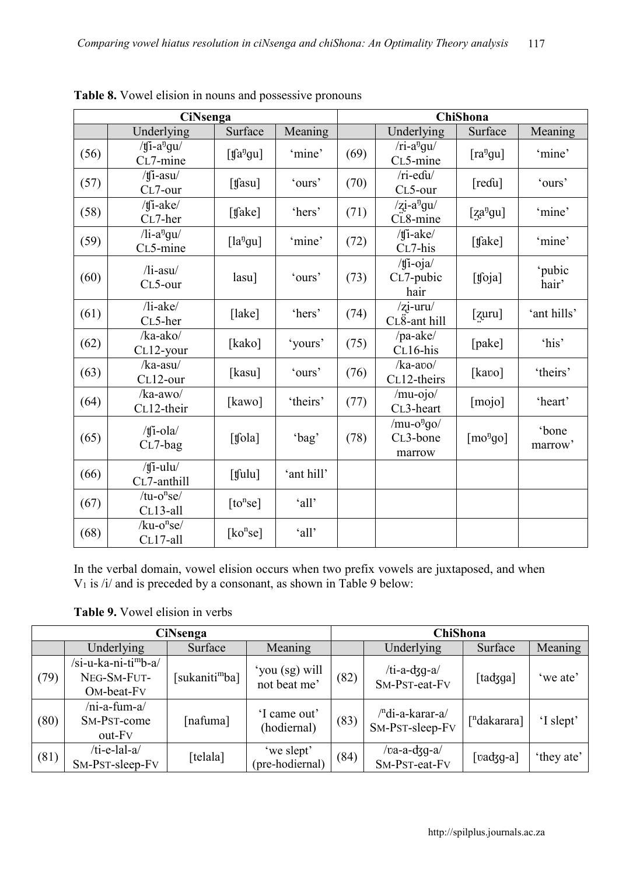|      | <b>CiNsenga</b>                                         |                          |            |      | <b>ChiShona</b>                      |                                      |                  |  |
|------|---------------------------------------------------------|--------------------------|------------|------|--------------------------------------|--------------------------------------|------------------|--|
|      | Underlying                                              | Surface                  | Meaning    |      | Underlying                           | Surface                              | Meaning          |  |
| (56) | / $\int$ [j-a <sup>n</sup> gu/<br>C <sub>L</sub> 7-mine | $[$ tfa <sup>n</sup> gu] | 'mine'     | (69) | $/ri-angu/$<br>CL5-mine              | $[ra^{n}gu]$                         | 'mine'           |  |
| (57) | $/ti$ -asu $/$<br>CL7-our                               | $[$ tfasu]               | 'ours'     | (70) | /ri-edu/<br>CL5-our                  | [redu]                               | 'ours'           |  |
| (58) | /tfi-ake/<br>CL7-her                                    | [ $tfake$ ]              | 'hers'     | (71) | $z_1 - a^n g u$<br>CL8-mine          | [za <sup>η</sup> gu]                 | 'mine'           |  |
| (59) | $\overline{7}$ li-a <sup>n</sup> gu/<br>CL5-mine        | $[la^{n}gu]$             | 'mine'     | (72) | $/$ tfi-ake $/$<br>CL7-his           | [tʃake]                              | 'mine'           |  |
| (60) | $\frac{1}{1 - axu}$<br>CL5-our                          | $lasu$ ]                 | 'ours'     | (73) | $/$ tfi-oja $/$<br>CL7-pubic<br>hair | [foja]                               | 'pubic<br>hair'  |  |
| (61) | $\left $ li-ake $\right $<br>CL5-her                    | $[$ lake $]$             | 'hers'     | (74) | $/$ zi-uru $/$<br>$CL8$ -ant hill    | [zuru]                               | 'ant hills'      |  |
| (62) | /ka-ako/<br>CL12-your                                   | [kako]                   | 'yours'    | (75) | /pa-ake/<br>CL16-his                 | [pake]                               | 'his'            |  |
| (63) | $/ka$ -asu $/$<br>CL12-our                              | [kasu]                   | 'ours'     | (76) | $/ka$ -avo $/$<br>CL12-theirs        | [kavo]                               | 'theirs'         |  |
| (64) | $/ka$ -awo $/$<br>CL12-their                            | [kawo]                   | 'theirs'   | (77) | $/mu-ojo/$<br>CL3-heart              | [mojo]                               | 'heart'          |  |
| (65) | /tfi-ola/<br>$CL7-bag$                                  | [tʃola]                  | 'bag'      | (78) | $/mu-ong0/$<br>CL3-bone<br>marrow    | $\lceil$ mo <sup>n</sup> go $\rceil$ | 'bone<br>marrow' |  |
| (66) | / $\int$ i-ulu/<br>CL7-anthill                          | $[$ tfulu $]$            | 'ant hill' |      |                                      |                                      |                  |  |
| (67) | $/$ tu-o $n$ se $/$<br>CL13-all                         | [to <sup>n</sup> se]     | 'all'      |      |                                      |                                      |                  |  |
| (68) | $/ku$ -o <sup>n</sup> se/<br>CL17-all                   | $\lceil ko^nse\rceil$    | 'all'      |      |                                      |                                      |                  |  |

**Table 8.** Vowel elision in nouns and possessive pronouns

In the verbal domain, vowel elision occurs when two prefix vowels are juxtaposed, and when  $V_1$  is /i/ and is preceded by a consonant, as shown in Table 9 below:

**Table 9.** Vowel elision in verbs

|      | <b>CiNsenga</b>                                                                        |                            |                                |      | <b>ChiShona</b>                                 |                                 |            |
|------|----------------------------------------------------------------------------------------|----------------------------|--------------------------------|------|-------------------------------------------------|---------------------------------|------------|
|      | Underlying                                                                             | Surface                    | Meaning                        |      | Underlying                                      | Surface                         | Meaning    |
| (79) | /si-u-ka-ni-ti <sup>m</sup> b-a/<br>NEG-SM-FUT-<br>O <sub>M</sub> -beat-F <sub>V</sub> | [sukaniti <sup>m</sup> ba] | 'you (sg) will<br>not beat me' | (82) | /ti-a-d3g-a/<br>SM-PST-eat-Fv                   | [tadʒga]                        | 'we ate'   |
| (80) | $/ni-a-fum-a/$<br>SM-PST-come<br>out-F <sub>V</sub>                                    | [nafuma]                   | 'I came out'<br>(hodiernal)    | (83) | / <sup>n</sup> di-a-karar-a/<br>SM-PST-sleep-FV | $\lceil$ <sup>n</sup> dakarara] | 'I slept'  |
| (81) | $/ti$ -e-lal-a $/$<br>SM-PST-sleep-FV                                                  | [telala]                   | 'we slept'<br>(pre-hodiernal)  | (84) | /va-a-dʒg-a/<br>SM-PST-eat-FV                   | $\lceil \text{vadg}-a \rceil$   | 'they ate' |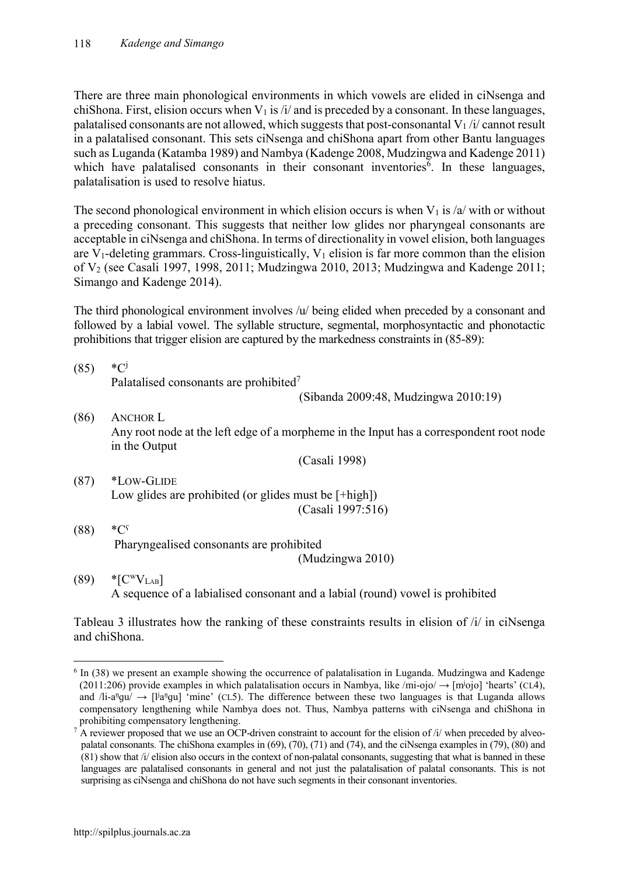There are three main phonological environments in which vowels are elided in ciNsenga and chiShona. First, elision occurs when  $V_1$  is /i/ and is preceded by a consonant. In these languages, palatalised consonants are not allowed, which suggests that post-consonantal  $V_1/i$  cannot result in a palatalised consonant. This sets ciNsenga and chiShona apart from other Bantu languages such as Luganda (Katamba 1989) and Nambya (Kadenge 2008, Mudzingwa and Kadenge 2011) which have palatalised consonants in their consonant inventories<sup>6</sup>. In these languages, palatalisation is used to resolve hiatus.

The second phonological environment in which elision occurs is when  $V_1$  is /a/ with or without a preceding consonant. This suggests that neither low glides nor pharyngeal consonants are acceptable in ciNsenga and chiShona. In terms of directionality in vowel elision, both languages are V<sub>1</sub>-deleting grammars. Cross-linguistically, V<sub>1</sub> elision is far more common than the elision of V2 (see Casali 1997, 1998, 2011; Mudzingwa 2010, 2013; Mudzingwa and Kadenge 2011; Simango and Kadenge 2014).

The third phonological environment involves /u/ being elided when preceded by a consonant and followed by a labial vowel. The syllable structure, segmental, morphosyntactic and phonotactic prohibitions that trigger elision are captured by the markedness constraints in (85-89):

 $(85)$  \*C<sup>j</sup> Palatalised consonants are prohibited<sup>7</sup>

(Sibanda 2009:48, Mudzingwa 2010:19)

(86) ANCHOR L Any root node at the left edge of a morpheme in the Input has a correspondent root node in the Output

(Casali 1998)

- (87) \*LOW-GLIDE Low glides are prohibited (or glides must be [+high]) (Casali 1997:516)
- $(88) *C<sup>s</sup>$ Pharyngealised consonants are prohibited (Mudzingwa 2010)
- $(89)$  \*[C<sup>w</sup>V<sub>LAB</sub>] A sequence of a labialised consonant and a labial (round) vowel is prohibited

Tableau 3 illustrates how the ranking of these constraints results in elision of /i/ in ciNsenga and chiShona.

 <sup>6</sup> In (38) we present an example showing the occurrence of palatalisation in Luganda. Mudzingwa and Kadenge (2011:206) provide examples in which palatalisation occurs in Nambya, like /mi-ojo/  $\rightarrow$  [m<sup>j</sup>ojo] 'hearts' (CL4), and  $\Delta$ i-a<sup>n</sup>gu/  $\rightarrow$  [l<sup>i</sup>a<sup>n</sup>gu] 'mine' (CL5). The difference between these two languages is that Luganda allows compensatory lengthening while Nambya does not. Thus, Nambya patterns with ciNsenga and chiShona in

 $\frac{7}{4}$  A reviewer proposed that we use an OCP-driven constraint to account for the elision of /i/ when preceded by alveopalatal consonants. The chiShona examples in (69), (70), (71) and (74), and the ciNsenga examples in (79), (80) and  $(81)$  show that /i/ elision also occurs in the context of non-palatal consonants, suggesting that what is banned in these languages are palatalised consonants in general and not just the palatalisation of palatal consonants. This is not surprising as ciNsenga and chiShona do not have such segments in their consonant inventories.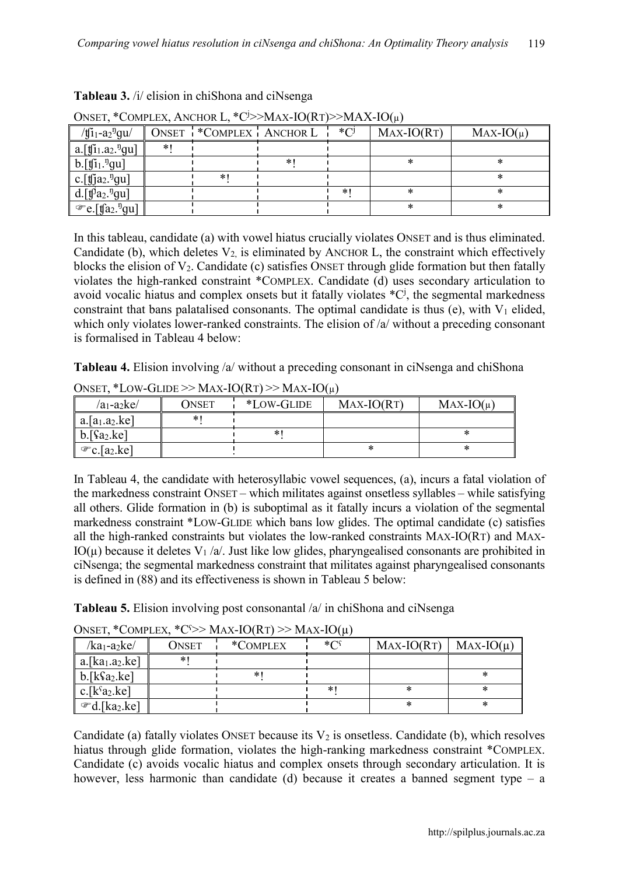| $U_{\text{WUL}}$ , COME ELA, ANCHOR E, C. THEM TORE F. THEM TORE                      |  |                         |   |            |              |               |
|---------------------------------------------------------------------------------------|--|-------------------------|---|------------|--------------|---------------|
| / $t[i_1-a_2]$ <sup>n</sup> gu/                                                       |  | ONSET *COMPLEX ANCHOR L |   | $\ast$ ( ) | $MAX-IO(RT)$ | $MAX-IO(\mu)$ |
| $ a_{\cdot}[\mathfrak{f}_{11.}a_{2.}^{\mathfrak{g}_{1}}]$                             |  |                         |   |            |              |               |
| $ b.[\mathfrak{f}i_1.^{\mathfrak{y}}\mathfrak{g}u]$                                   |  |                         | * |            |              |               |
| $\mathbf{c}$ . [fja <sub>2</sub> . <sup>n</sup> gu]                                   |  | *.                      |   |            |              |               |
| d.[f <sup><math>\theta</math><math>a_2</math><math>\theta</math><sup>n</sup>gu]</sup> |  |                         |   |            |              |               |
| $\mathscr{F}e.[\mathfrak{g}a_2.^{\mathfrak{g}}$ gu]                                   |  |                         |   |            |              |               |

**Tableau 3.** /i/ elision in chiShona and ciNsenga

| ONSET, *COMPLEX, ANCHOR L, *C'>>MAX-IO(RT)>>MAX-IO( $\mu$ ) |  |
|-------------------------------------------------------------|--|
|                                                             |  |

In this tableau, candidate (a) with vowel hiatus crucially violates ONSET and is thus eliminated. Candidate (b), which deletes  $V_2$  is eliminated by ANCHOR L, the constraint which effectively blocks the elision of  $V_2$ . Candidate (c) satisfies ONSET through glide formation but then fatally violates the high-ranked constraint \*COMPLEX. Candidate (d) uses secondary articulation to avoid vocalic hiatus and complex onsets but it fatally violates  $^{\ast}C^{j}$ , the segmental markedness constraint that bans palatalised consonants. The optimal candidate is thus (e), with  $V_1$  elided, which only violates lower-ranked constraints. The elision of /a/ without a preceding consonant is formalised in Tableau 4 below:

**Tableau 4.** Elision involving /a/ without a preceding consonant in ciNsenga and chiShona

| $a_1$ -a <sub>2</sub> ke/             | ONSET | *LOW-GLIDE | $MAX-IO(RT)$ | $MAX-IO(\mu)$ |  |  |  |
|---------------------------------------|-------|------------|--------------|---------------|--|--|--|
| $a.[a_1.a_2.ke]$                      | ∗     |            |              |               |  |  |  |
| $b.\sqrt{a_2.ke}$                     |       | *          |              |               |  |  |  |
| $\mathcal{F}c$ . [a <sub>2</sub> .ke] |       |            |              |               |  |  |  |

ONSET, \*LOW-GLIDE >> MAX-IO(RT) >> MAX-IO(u)

In Tableau 4, the candidate with heterosyllabic vowel sequences, (a), incurs a fatal violation of the markedness constraint ONSET – which militates against onsetless syllables – while satisfying all others. Glide formation in (b) is suboptimal as it fatally incurs a violation of the segmental markedness constraint \*LOW-GLIDE which bans low glides. The optimal candidate (c) satisfies all the high-ranked constraints but violates the low-ranked constraints MAX-IO(RT) and MAX-IO( $\mu$ ) because it deletes V<sub>1</sub>/a/. Just like low glides, pharyngealised consonants are prohibited in ciNsenga; the segmental markedness constraint that militates against pharyngealised consonants is defined in (88) and its effectiveness is shown in Tableau 5 below:

**Tableau 5.** Elision involving post consonantal /a/ in chiShona and ciNsenga

| $\sigma$ -                              |       |          |            |              |               |  |  |
|-----------------------------------------|-------|----------|------------|--------------|---------------|--|--|
| $/ka_1-a_2ke/$                          | ONSET | *COMPLEX | $*$ $\cap$ | $MAX-IO(RT)$ | $MAX-IO(\mu)$ |  |  |
| a.[ka <sub>1</sub> .a <sub>2</sub> .ke] | ∗     |          |            |              |               |  |  |
| b.[kSa <sub>2</sub> .ke]                |       | ∗        |            |              |               |  |  |
| c. $[k^s a_2.ke]$                       |       |          |            |              |               |  |  |
| $\mathcal{F}d$ .[ka2.ke]                |       |          |            | *            |               |  |  |

ONSET, \*COMPLEX, \*C§>> MAX-IO(RT) >> MAX-IO(µ)

Candidate (a) fatally violates ONSET because its  $V_2$  is onsetless. Candidate (b), which resolves hiatus through glide formation, violates the high-ranking markedness constraint \*COMPLEX. Candidate (c) avoids vocalic hiatus and complex onsets through secondary articulation. It is however, less harmonic than candidate (d) because it creates a banned segment type – a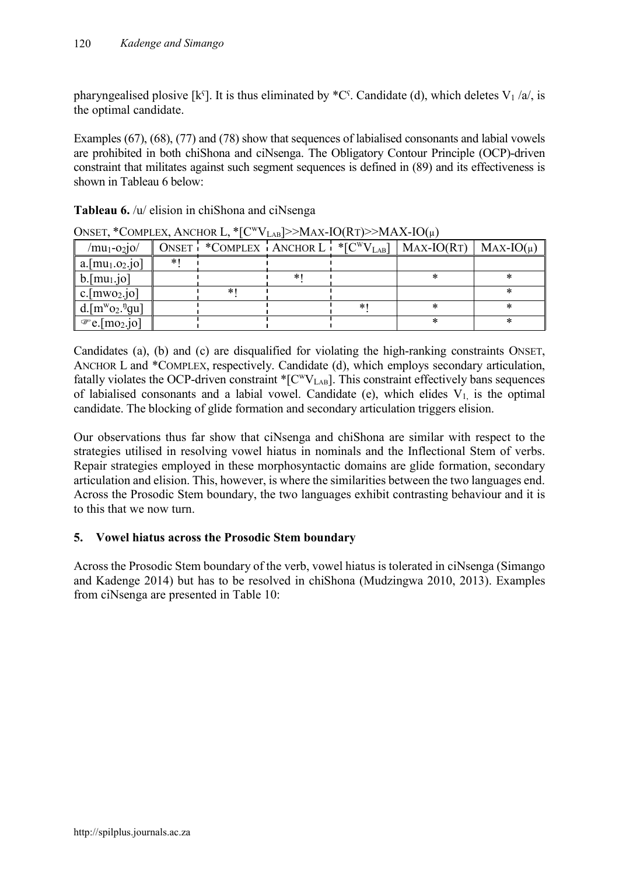pharyngealised plosive [kˤ]. It is thus eliminated by  $^{\ast}C^{\varsigma}$ . Candidate (d), which deletes V<sub>1</sub>/a/, is the optimal candidate.

Examples (67), (68), (77) and (78) show that sequences of labialised consonants and labial vowels are prohibited in both chiShona and ciNsenga. The Obligatory Contour Principle (OCP)-driven constraint that militates against such segment sequences is defined in (89) and its effectiveness is shown in Tableau 6 below:

| $/mu_1$ -02 $10/$                |       |    |   | ONSET $^!$ *COMPLEX $^!$ ANCHOR L $^*$ [C <sup>W</sup> V <sub>LAB</sub> ]   MAX-IO(RT) | $MAX-IO(\mu)$ |
|----------------------------------|-------|----|---|----------------------------------------------------------------------------------------|---------------|
| $a.$ [mu <sub>1</sub> .02.jo]    | $*$ 1 |    |   |                                                                                        |               |
| $b.[mu_1.jo]$                    |       |    |   |                                                                                        |               |
| $c.[mwo_2.jo]$                   |       | ∗' |   |                                                                                        |               |
| d.[ $m^w o_2$ . <sup>n</sup> gu] |       |    | ∗ |                                                                                        |               |
| $\mathcal{F}$ e.[mo2.jo]         |       |    |   |                                                                                        |               |

ONSET, \*COMPLEX, ANCHOR L, \* $[{\rm C}^{\rm w}V_{\rm LAB}$  >>MAX-IO(RT)>>MAX-IO( $\mu$ )

Candidates (a), (b) and (c) are disqualified for violating the high-ranking constraints ONSET, ANCHOR L and \*COMPLEX, respectively. Candidate (d), which employs secondary articulation, fatally violates the OCP-driven constraint  ${}^*$ [C<sup>w</sup>V<sub>LAB</sub>]. This constraint effectively bans sequences of labialised consonants and a labial vowel. Candidate (e), which elides  $V_1$  is the optimal candidate. The blocking of glide formation and secondary articulation triggers elision.

Our observations thus far show that ciNsenga and chiShona are similar with respect to the strategies utilised in resolving vowel hiatus in nominals and the Inflectional Stem of verbs. Repair strategies employed in these morphosyntactic domains are glide formation, secondary articulation and elision. This, however, is where the similarities between the two languages end. Across the Prosodic Stem boundary, the two languages exhibit contrasting behaviour and it is to this that we now turn.

### **5. Vowel hiatus across the Prosodic Stem boundary**

Across the Prosodic Stem boundary of the verb, vowel hiatus is tolerated in ciNsenga (Simango and Kadenge 2014) but has to be resolved in chiShona (Mudzingwa 2010, 2013). Examples from ciNsenga are presented in Table 10: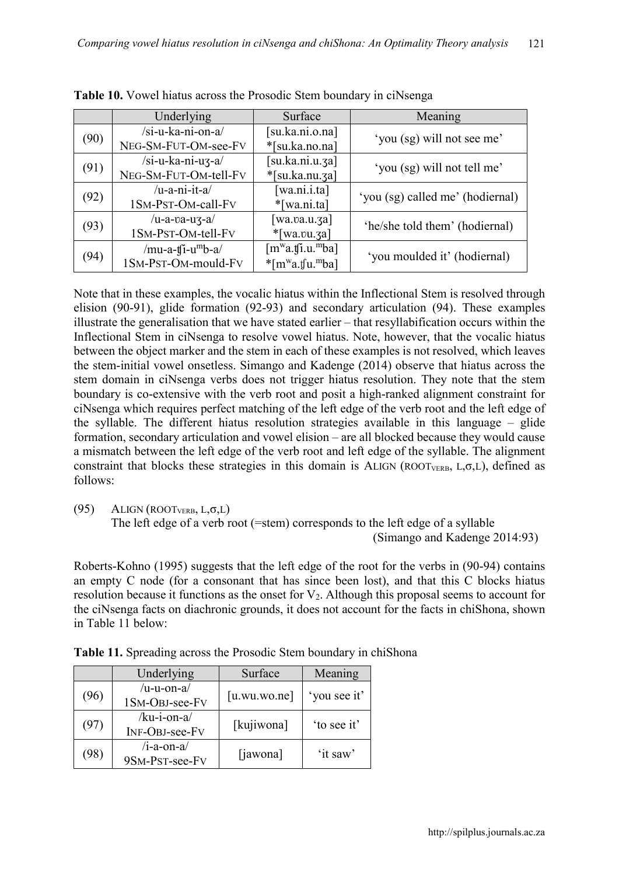|      | Underlying                    | Surface                                     | Meaning                          |
|------|-------------------------------|---------------------------------------------|----------------------------------|
|      | /si-u-ka-ni-on-a/             | [su.ka.ni.o.na]                             |                                  |
| (90) | NEG-SM-FUT-OM-see-FV          | *[su.ka.no.na]                              | 'you (sg) will not see me'       |
| (91) | /si-u-ka-ni-u3-a/             | [su.ka.ni.u.3a]                             | 'you (sg) will not tell me'      |
|      | NEG-SM-FUT-OM-tell-FV         | $*[su.ka.nu.ga]$                            |                                  |
|      | $/u-a-ni-it-a/$               | [wa.ni.i.ta]                                | 'you (sg) called me' (hodiernal) |
| (92) | 1SM-PST-OM-call-FV            | $*$ [wa.ni.ta]                              |                                  |
|      | /u-a-va-uz-a/                 | $\left[$ wa.va.u. $\left[$ za $\right]$     | 'he/she told them' (hodiernal)   |
| (93) | 1SM-PST-OM-tell-FV            | $*$ [wa.vu.3a]                              |                                  |
|      | /mu-a-t[i-u <sup>m</sup> b-a/ | [m <sup>w</sup> a.fj.u. <sup>m</sup> ba]    |                                  |
| (94) | 1SM-PST-OM-mould-FV           | $*$ [m <sup>w</sup> a.tfu. <sup>m</sup> ba] | 'you moulded it' (hodiernal)     |

**Table 10.** Vowel hiatus across the Prosodic Stem boundary in ciNsenga

Note that in these examples, the vocalic hiatus within the Inflectional Stem is resolved through elision (90-91), glide formation (92-93) and secondary articulation (94). These examples illustrate the generalisation that we have stated earlier – that resyllabification occurs within the Inflectional Stem in ciNsenga to resolve vowel hiatus. Note, however, that the vocalic hiatus between the object marker and the stem in each of these examples is not resolved, which leaves the stem-initial vowel onsetless. Simango and Kadenge (2014) observe that hiatus across the stem domain in ciNsenga verbs does not trigger hiatus resolution. They note that the stem boundary is co-extensive with the verb root and posit a high-ranked alignment constraint for ciNsenga which requires perfect matching of the left edge of the verb root and the left edge of the syllable. The different hiatus resolution strategies available in this language – glide formation, secondary articulation and vowel elision – are all blocked because they would cause a mismatch between the left edge of the verb root and left edge of the syllable. The alignment constraint that blocks these strategies in this domain is ALIGN (ROOT<sub>VERB</sub>, L, $\sigma$ ,L), defined as follows:

 $(95)$  ALIGN  $(ROOT_{VERB}, L, \sigma, L)$ 

The left edge of a verb root (=stem) corresponds to the left edge of a syllable (Simango and Kadenge 2014:93)

Roberts-Kohno (1995) suggests that the left edge of the root for the verbs in (90-94) contains an empty C node (for a consonant that has since been lost), and that this C blocks hiatus resolution because it functions as the onset for  $V_2$ . Although this proposal seems to account for the ciNsenga facts on diachronic grounds, it does not account for the facts in chiShona, shown in Table 11 below:

|      | Underlying                            | Surface      | Meaning      |
|------|---------------------------------------|--------------|--------------|
| (96) | $/u$ -u-on-a $/$<br>1SM-OBJ-see-FV    | [u.wu.wo.ne] | 'you see it' |
| (97) | /ku-i-on-a/<br>INF-OBJ-see-FV         | [kujiwona]   | 'to see it'  |
| 98`  | $/i$ -a-on-a $\ell$<br>9SM-PST-see-FV | [jawona]     | 'it saw'     |

**Table 11.** Spreading across the Prosodic Stem boundary in chiShona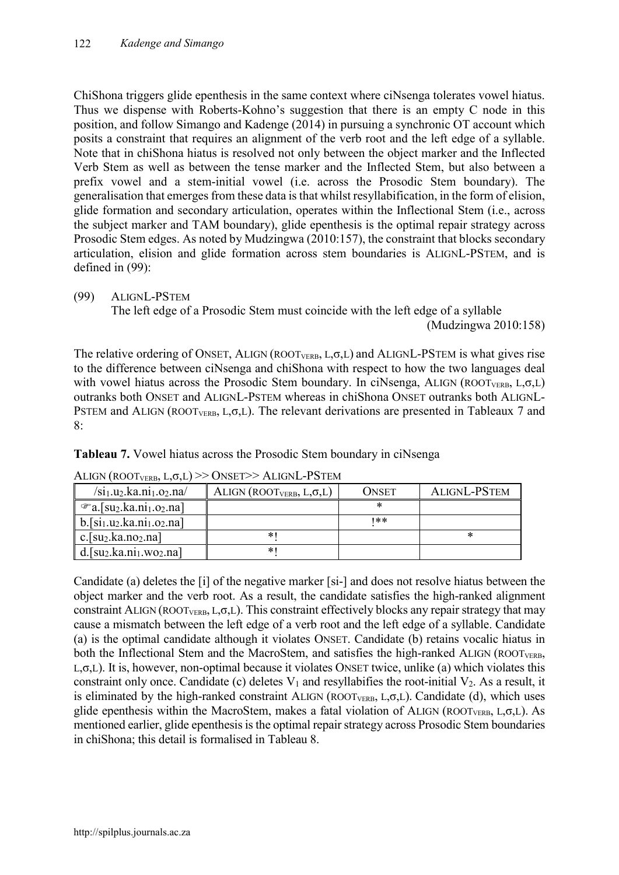ChiShona triggers glide epenthesis in the same context where ciNsenga tolerates vowel hiatus. Thus we dispense with Roberts-Kohno's suggestion that there is an empty C node in this position, and follow Simango and Kadenge (2014) in pursuing a synchronic OT account which posits a constraint that requires an alignment of the verb root and the left edge of a syllable. Note that in chiShona hiatus is resolved not only between the object marker and the Inflected Verb Stem as well as between the tense marker and the Inflected Stem, but also between a prefix vowel and a stem-initial vowel (i.e. across the Prosodic Stem boundary). The generalisation that emerges from these data is that whilst resyllabification, in the form of elision, glide formation and secondary articulation, operates within the Inflectional Stem (i.e., across the subject marker and TAM boundary), glide epenthesis is the optimal repair strategy across Prosodic Stem edges. As noted by Mudzingwa (2010:157), the constraint that blocks secondary articulation, elision and glide formation across stem boundaries is ALIGNL-PSTEM, and is defined in (99):

### (99) ALIGNL-PSTEM

The left edge of a Prosodic Stem must coincide with the left edge of a syllable (Mudzingwa 2010:158)

The relative ordering of ONSET, ALIGN (ROOT<sub>VERB</sub>, L, $\sigma$ ,L) and ALIGNL-PSTEM is what gives rise to the difference between ciNsenga and chiShona with respect to how the two languages deal with vowel hiatus across the Prosodic Stem boundary. In ciNsenga, ALIGN (ROOT<sub>VERB</sub>, L, $\sigma$ ,L) outranks both ONSET and ALIGNL-PSTEM whereas in chiShona ONSET outranks both ALIGNL-PSTEM and ALIGN (ROOT<sub>VERB</sub>, L, $\sigma$ ,L). The relevant derivations are presented in Tableaux 7 and 8:

**Tableau 7.** Vowel hiatus across the Prosodic Stem boundary in ciNsenga

| $\sin\theta$ , $\tan\theta$ , $\tan\theta$ , $\tan\theta$                      | ALIGN (ROOTVERB, $L, \sigma, L$ ) | Onset | ALIGNL-PSTEM |
|--------------------------------------------------------------------------------|-----------------------------------|-------|--------------|
| $\mathcal{F}$ a.[su2.ka.ni <sub>1</sub> .o <sub>2</sub> .na]                   |                                   |       |              |
| $b.$ [si <sub>1</sub> .u <sub>2</sub> .ka.ni <sub>1</sub> .o <sub>2</sub> .na] |                                   | 1**   |              |
| c.[ $su_2$ .ka.no <sub>2</sub> .na]                                            | ∗                                 |       | ×            |
| $d.[su_2.ka.ni_1.wo_2.na]$                                                     | ∗                                 |       |              |

ALIGN  $(ROOT_{VEDB} | L \sigma L) \gg ONSET \gg ALIGNL-PSTEM$ 

Candidate (a) deletes the [i] of the negative marker [si-] and does not resolve hiatus between the object marker and the verb root. As a result, the candidate satisfies the high-ranked alignment constraint ALIGN (ROOT<sub>VERB</sub>, L, $\sigma$ ,L). This constraint effectively blocks any repair strategy that may cause a mismatch between the left edge of a verb root and the left edge of a syllable. Candidate (a) is the optimal candidate although it violates ONSET. Candidate (b) retains vocalic hiatus in both the Inflectional Stem and the MacroStem, and satisfies the high-ranked ALIGN (ROOT<sub>VERB</sub>, L,σ,L). It is, however, non-optimal because it violates ONSET twice, unlike (a) which violates this constraint only once. Candidate (c) deletes  $V_1$  and resyllabifies the root-initial  $V_2$ . As a result, it is eliminated by the high-ranked constraint ALIGN (ROOT<sub>VERB</sub>, L, $\sigma$ ,L). Candidate (d), which uses glide epenthesis within the MacroStem, makes a fatal violation of ALIGN (ROOT<sub>VERB</sub>, L, $\sigma$ ,L). As mentioned earlier, glide epenthesis is the optimal repair strategy across Prosodic Stem boundaries in chiShona; this detail is formalised in Tableau 8.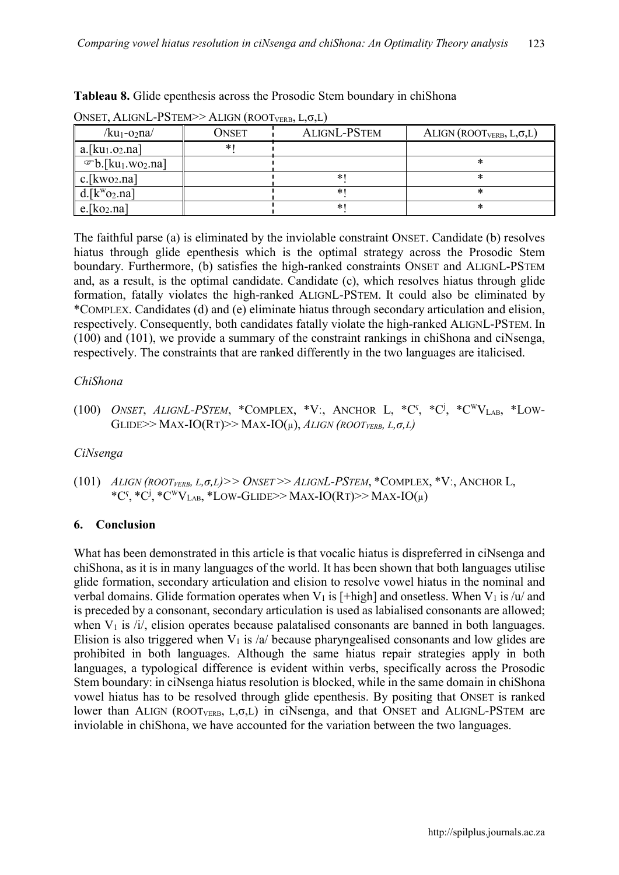| UNSET, ALIGNE-I STEM $\geq$ ALIGN (KOOTVERB, L,O,L)    |       |                     |                                   |  |  |  |  |
|--------------------------------------------------------|-------|---------------------|-----------------------------------|--|--|--|--|
| /ku1-02na/                                             | ONSET | <b>ALIGNL-PSTEM</b> | ALIGN (ROOTVERB, $L, \sigma, L$ ) |  |  |  |  |
| $a.$ [ku <sub>1</sub> .o <sub>2</sub> .na]             | *1    |                     |                                   |  |  |  |  |
| $\mathcal{P}$ b.[ku <sub>1</sub> .wo <sub>2</sub> .na] |       |                     |                                   |  |  |  |  |
| $c.[kwo_2.na]$                                         |       |                     |                                   |  |  |  |  |
| $d.[k^wo_2.na]$                                        |       |                     |                                   |  |  |  |  |
| $e$ [ko <sub>2</sub> .na]                              |       |                     |                                   |  |  |  |  |

**Tableau 8.** Glide epenthesis across the Prosodic Stem boundary in chiShona

ONSET ALIGNL-PSTEM>> ALIGN (BOOT  $I(\sigma I)$ 

The faithful parse (a) is eliminated by the inviolable constraint ONSET. Candidate (b) resolves hiatus through glide epenthesis which is the optimal strategy across the Prosodic Stem boundary. Furthermore, (b) satisfies the high-ranked constraints ONSET and ALIGNL-PSTEM and, as a result, is the optimal candidate. Candidate (c), which resolves hiatus through glide formation, fatally violates the high-ranked ALIGNL-PSTEM. It could also be eliminated by \*COMPLEX. Candidates (d) and (e) eliminate hiatus through secondary articulation and elision, respectively. Consequently, both candidates fatally violate the high-ranked ALIGNL-PSTEM. In (100) and (101), we provide a summary of the constraint rankings in chiShona and ciNsenga, respectively. The constraints that are ranked differently in the two languages are italicised.

### *ChiShona*

(100) *ONSET*, *ALIGNL-PSTEM*, \*COMPLEX, \*V:, ANCHOR L, \*C<sup>s</sup>, \*C<sup>i</sup>, \*C<sup>w</sup>V<sub>LAB</sub>, \*LOW-GLIDE>> MAX-IO(RT)>> MAX-IO(µ), *ALIGN (ROOTVERB, L,σ,L)*

### *CiNsenga*

(101) *ALIGN (ROOTVERB, L,σ,L)>> ONSET* >> *ALIGNL-PSTEM*, \*COMPLEX, \*Vː, ANCHOR L, \*C<sup>s</sup>, \*C<sup>i</sup>, \*C<sup>w</sup>V<sub>LAB</sub>, \*LOW-GLIDE>> MAX-IO(RT)>> MAX-IO(µ)

### **6. Conclusion**

What has been demonstrated in this article is that vocalic hiatus is dispreferred in ciNsenga and chiShona, as it is in many languages of the world. It has been shown that both languages utilise glide formation, secondary articulation and elision to resolve vowel hiatus in the nominal and verbal domains. Glide formation operates when  $V_1$  is [+high] and onsetless. When  $V_1$  is /u/ and is preceded by a consonant, secondary articulation is used as labialised consonants are allowed; when  $V_1$  is  $/i$ , elision operates because palatalised consonants are banned in both languages. Elision is also triggered when  $V_1$  is /a/ because pharyngealised consonants and low glides are prohibited in both languages. Although the same hiatus repair strategies apply in both languages, a typological difference is evident within verbs, specifically across the Prosodic Stem boundary: in ciNsenga hiatus resolution is blocked, while in the same domain in chiShona vowel hiatus has to be resolved through glide epenthesis. By positing that ONSET is ranked lower than ALIGN (ROOT<sub>VERB</sub>, L, $\sigma$ ,L) in ciNsenga, and that ONSET and ALIGNL-PSTEM are inviolable in chiShona, we have accounted for the variation between the two languages.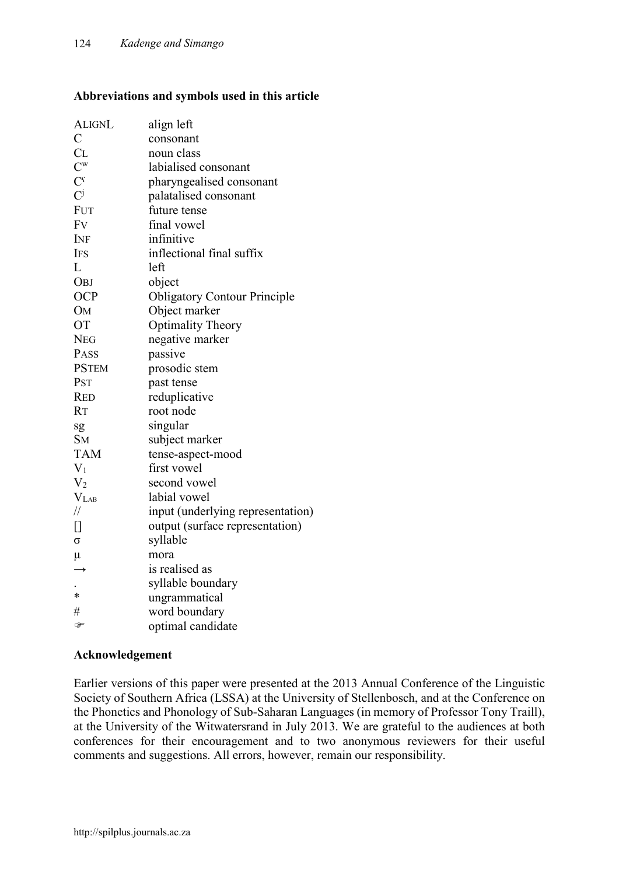### **Abbreviations and symbols used in this article**

| <b>ALIGNL</b>             | align left                          |
|---------------------------|-------------------------------------|
| $\mathcal{C}_{0}^{(n)}$   | consonant                           |
| CL                        | noun class                          |
| $\mathsf{C}^{\mathrm{w}}$ | labialised consonant                |
| $\mathcal{C}^{\varsigma}$ | pharyngealised consonant            |
| $\overline{C}^j$          | palatalised consonant               |
| <b>FUT</b>                | future tense                        |
| Fv                        | final vowel                         |
| INF                       | infinitive                          |
| <b>IFS</b>                | inflectional final suffix           |
| L                         | left                                |
| <b>OBJ</b>                | object                              |
| <b>OCP</b>                | <b>Obligatory Contour Principle</b> |
| <b>OM</b>                 | Object marker                       |
| <b>OT</b>                 | <b>Optimality Theory</b>            |
| <b>NEG</b>                | negative marker                     |
| PASS                      | passive                             |
| <b>PSTEM</b>              | prosodic stem                       |
| PST                       | past tense                          |
| <b>RED</b>                | reduplicative                       |
| <b>RT</b>                 | root node                           |
| sg                        | singular                            |
| <b>SM</b>                 | subject marker                      |
| <b>TAM</b>                | tense-aspect-mood                   |
| $V_1$                     | first vowel                         |
| V <sub>2</sub>            | second vowel                        |
| $V_{LAB}$                 | labial vowel                        |
| $\frac{1}{2}$             | input (underlying representation)   |
| П                         | output (surface representation)     |
| σ                         | syllable                            |
| $\mu$                     | mora                                |
| $\rightarrow$             | is realised as                      |
|                           | syllable boundary                   |
| $\ast$                    | ungrammatical                       |
| #                         | word boundary                       |
| P                         | optimal candidate                   |

### **Acknowledgement**

Earlier versions of this paper were presented at the 2013 Annual Conference of the Linguistic Society of Southern Africa (LSSA) at the University of Stellenbosch, and at the Conference on the Phonetics and Phonology of Sub-Saharan Languages (in memory of Professor Tony Traill), at the University of the Witwatersrand in July 2013. We are grateful to the audiences at both conferences for their encouragement and to two anonymous reviewers for their useful comments and suggestions. All errors, however, remain our responsibility.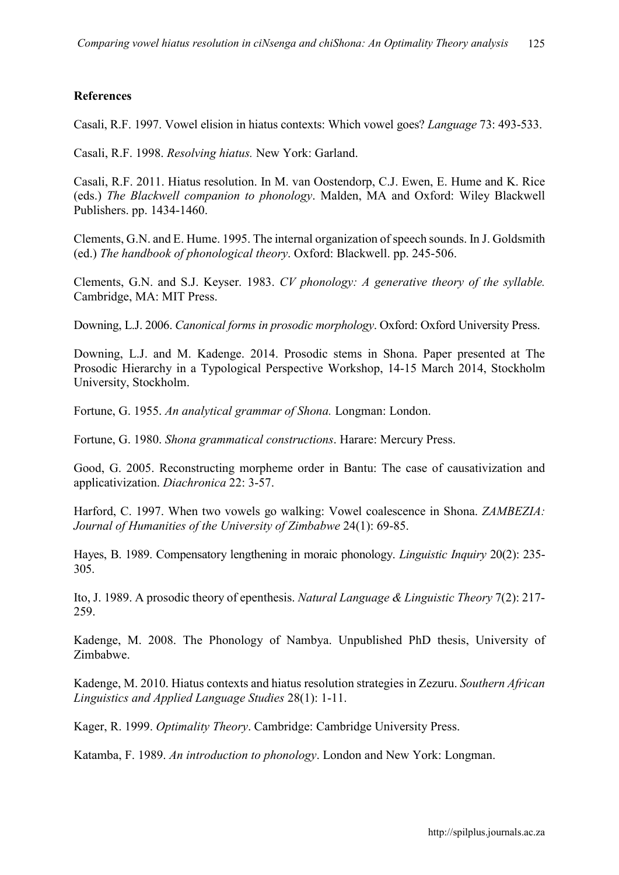### **References**

Casali, R.F. 1997. Vowel elision in hiatus contexts: Which vowel goes? *Language* 73: 493-533.

Casali, R.F. 1998. *Resolving hiatus.* New York: Garland.

Casali, R.F. 2011. Hiatus resolution. In M. van Oostendorp, C.J. Ewen, E. Hume and K. Rice (eds.) *The Blackwell companion to phonology*. Malden, MA and Oxford: Wiley Blackwell Publishers. pp. 1434-1460.

Clements, G.N. and E. Hume. 1995. The internal organization of speech sounds. In J. Goldsmith (ed.) *The handbook of phonological theory*. Oxford: Blackwell. pp. 245-506.

Clements, G.N. and S.J. Keyser. 1983. *CV phonology: A generative theory of the syllable.* Cambridge, MA: MIT Press.

Downing, L.J. 2006. *Canonical forms in prosodic morphology*. Oxford: Oxford University Press.

Downing, L.J. and M. Kadenge. 2014. Prosodic stems in Shona. Paper presented at The Prosodic Hierarchy in a Typological Perspective Workshop, 14-15 March 2014, Stockholm University, Stockholm.

Fortune, G. 1955. *An analytical grammar of Shona.* Longman: London.

Fortune, G. 1980. *Shona grammatical constructions*. Harare: Mercury Press.

Good, G. 2005. Reconstructing morpheme order in Bantu: The case of causativization and applicativization. *Diachronica* 22: 3-57.

Harford, C. 1997. When two vowels go walking: Vowel coalescence in Shona. *ZAMBEZIA: Journal of Humanities of the University of Zimbabwe* 24(1): 69-85.

Hayes, B. 1989. Compensatory lengthening in moraic phonology. *Linguistic Inquiry* 20(2): 235- 305.

Ito, J. 1989. A prosodic theory of epenthesis. *Natural Language & Linguistic Theory* 7(2): 217- 259.

Kadenge, M. 2008. The Phonology of Nambya. Unpublished PhD thesis, University of Zimbabwe.

Kadenge, M. 2010. Hiatus contexts and hiatus resolution strategies in Zezuru. *Southern African Linguistics and Applied Language Studies* 28(1): 1-11.

Kager, R. 1999. *Optimality Theory*. Cambridge: Cambridge University Press.

Katamba, F. 1989. *An introduction to phonology*. London and New York: Longman.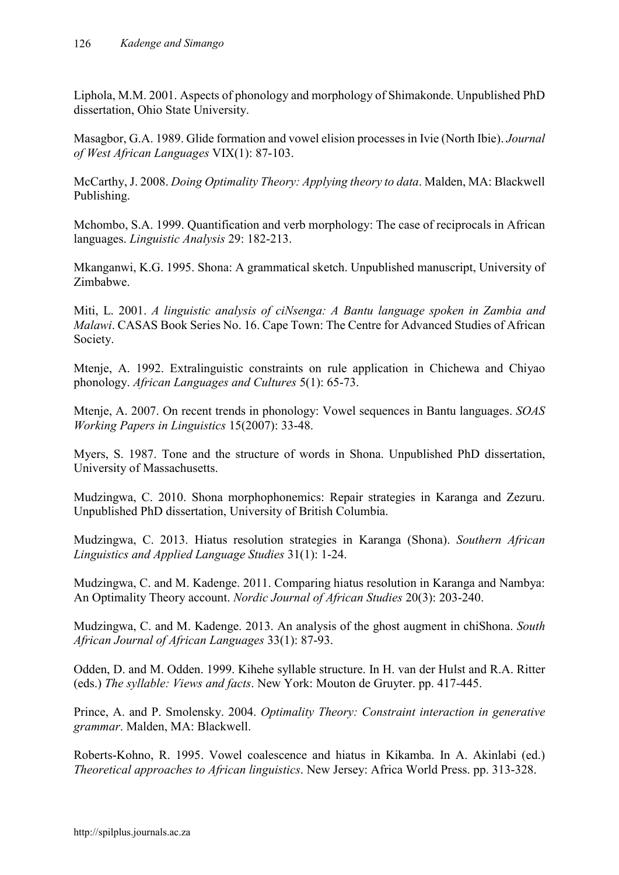Liphola, M.M. 2001. Aspects of phonology and morphology of Shimakonde. Unpublished PhD dissertation, Ohio State University.

Masagbor, G.A. 1989. Glide formation and vowel elision processes in Ivie (North Ibie). *Journal of West African Languages* VIX(1): 87-103.

McCarthy, J. 2008. *Doing Optimality Theory: Applying theory to data*. Malden, MA: Blackwell Publishing.

Mchombo, S.A. 1999. Quantification and verb morphology: The case of reciprocals in African languages. *Linguistic Analysis* 29: 182-213.

Mkanganwi, K.G. 1995. Shona: A grammatical sketch. Unpublished manuscript, University of Zimbabwe.

Miti, L. 2001. *A linguistic analysis of ciNsenga: A Bantu language spoken in Zambia and Malawi*. CASAS Book Series No. 16. Cape Town: The Centre for Advanced Studies of African Society.

Mtenje, A. 1992. Extralinguistic constraints on rule application in Chichewa and Chiyao phonology. *African Languages and Cultures* 5(1): 65-73.

Mtenje, A. 2007. On recent trends in phonology: Vowel sequences in Bantu languages. *SOAS Working Papers in Linguistics* 15(2007): 33-48.

Myers, S. 1987. Tone and the structure of words in Shona. Unpublished PhD dissertation, University of Massachusetts.

Mudzingwa, C. 2010. Shona morphophonemics: Repair strategies in Karanga and Zezuru. Unpublished PhD dissertation, University of British Columbia.

Mudzingwa, C. 2013. Hiatus resolution strategies in Karanga (Shona). *Southern African Linguistics and Applied Language Studies* 31(1): 1-24.

Mudzingwa, C. and M. Kadenge. 2011. Comparing hiatus resolution in Karanga and Nambya: An Optimality Theory account. *Nordic Journal of African Studies* 20(3): 203-240.

Mudzingwa, C. and M. Kadenge. 2013. An analysis of the ghost augment in chiShona. *South African Journal of African Languages* 33(1): 87-93.

Odden, D. and M. Odden. 1999. Kihehe syllable structure. In H. van der Hulst and R.A. Ritter (eds.) *The syllable: Views and facts*. New York: Mouton de Gruyter. pp. 417-445.

Prince, A. and P. Smolensky. 2004. *Optimality Theory: Constraint interaction in generative grammar*. Malden, MA: Blackwell.

Roberts-Kohno, R. 1995. Vowel coalescence and hiatus in Kikamba. In A. Akinlabi (ed.) *Theoretical approaches to African linguistics*. New Jersey: Africa World Press. pp. 313-328.